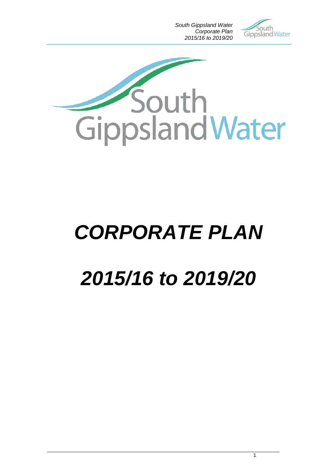*South Gippsland Water Corporate Plan 2015/16 to 2019/20*





# *CORPORATE PLAN*

# *2015/16 to 2019/20*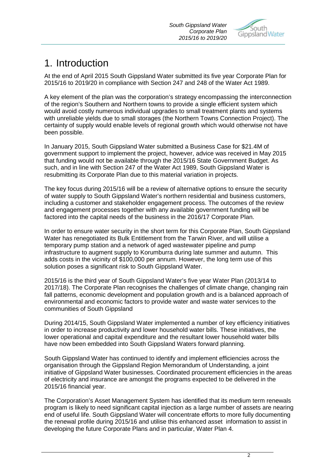

# 1. Introduction

At the end of April 2015 South Gippsland Water submitted its five year Corporate Plan for 2015/16 to 2019/20 in compliance with Section 247 and 248 of the Water Act 1989.

A key element of the plan was the corporation's strategy encompassing the interconnection of the region's Southern and Northern towns to provide a single efficient system which would avoid costly numerous individual upgrades to small treatment plants and systems with unreliable yields due to small storages (the Northern Towns Connection Project). The certainty of supply would enable levels of regional growth which would otherwise not have been possible.

In January 2015, South Gippsland Water submitted a Business Case for \$21.4M of government support to implement the project, however, advice was received in May 2015 that funding would not be available through the 2015/16 State Government Budget. As such, and in line with Section 247 of the Water Act 1989, South Gippsland Water is resubmitting its Corporate Plan due to this material variation in projects.

The key focus during 2015/16 will be a review of alternative options to ensure the security of water supply to South Gippsland Water's northern residential and business customers, including a customer and stakeholder engagement process. The outcomes of the review and engagement processes together with any available government funding will be factored into the capital needs of the business in the 2016/17 Corporate Plan.

In order to ensure water security in the short term for this Corporate Plan, South Gippsland Water has renegotiated its Bulk Entitlement from the Tarwin River, and will utilise a temporary pump station and a network of aged wastewater pipeline and pump infrastructure to augment supply to Korumburra during late summer and autumn. This adds costs in the vicinity of \$100,000 per annum. However, the long term use of this solution poses a significant risk to South Gippsland Water.

2015/16 is the third year of South Gippsland Water's five year Water Plan (2013/14 to 2017/18). The Corporate Plan recognises the challenges of climate change, changing rain fall patterns, economic development and population growth and is a balanced approach of environmental and economic factors to provide water and waste water services to the communities of South Gippsland

During 2014/15, South Gippsland Water implemented a number of key efficiency initiatives in order to increase productivity and lower household water bills. These initiatives, the lower operational and capital expenditure and the resultant lower household water bills have now been embedded into South Gippsland Waters forward planning.

South Gippsland Water has continued to identify and implement efficiencies across the organisation through the Gippsland Region Memorandum of Understanding, a joint initiative of Gippsland Water businesses. Coordinated procurement efficiencies in the areas of electricity and insurance are amongst the programs expected to be delivered in the 2015/16 financial year.

The Corporation's Asset Management System has identified that its medium term renewals program is likely to need significant capital injection as a large number of assets are nearing end of useful life. South Gippsland Water will concentrate efforts to more fully documenting the renewal profile during 2015/16 and utilise this enhanced asset information to assist in developing the future Corporate Plans and in particular, Water Plan 4.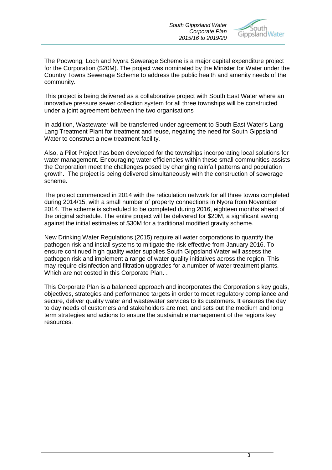*South Gippsland Water Corporate Plan 2015/16 to 2019/20*



The Poowong, Loch and Nyora Sewerage Scheme is a major capital expenditure project for the Corporation (\$20M). The project was nominated by the Minister for Water under the Country Towns Sewerage Scheme to address the public health and amenity needs of the community.

This project is being delivered as a collaborative project with South East Water where an innovative pressure sewer collection system for all three townships will be constructed under a joint agreement between the two organisations

In addition, Wastewater will be transferred under agreement to South East Water's Lang Lang Treatment Plant for treatment and reuse, negating the need for South Gippsland Water to construct a new treatment facility.

Also, a Pilot Project has been developed for the townships incorporating local solutions for water management. Encouraging water efficiencies within these small communities assists the Corporation meet the challenges posed by changing rainfall patterns and population growth. The project is being delivered simultaneously with the construction of sewerage scheme.

The project commenced in 2014 with the reticulation network for all three towns completed during 2014/15, with a small number of property connections in Nyora from November 2014. The scheme is scheduled to be completed during 2016, eighteen months ahead of the original schedule. The entire project will be delivered for \$20M, a significant saving against the initial estimates of \$30M for a traditional modified gravity scheme.

New Drinking Water Regulations (2015) require all water corporations to quantify the pathogen risk and install systems to mitigate the risk effective from January 2016. To ensure continued high quality water supplies South Gippsland Water will assess the pathogen risk and implement a range of water quality initiatives across the region. This may require disinfection and filtration upgrades for a number of water treatment plants. Which are not costed in this Corporate Plan. .

This Corporate Plan is a balanced approach and incorporates the Corporation's key goals, objectives, strategies and performance targets in order to meet regulatory compliance and secure, deliver quality water and wastewater services to its customers. It ensures the day to day needs of customers and stakeholders are met, and sets out the medium and long term strategies and actions to ensure the sustainable management of the regions key resources.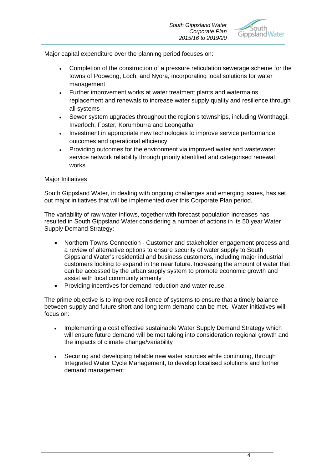

Major capital expenditure over the planning period focuses on:

- Completion of the construction of a pressure reticulation sewerage scheme for the towns of Poowong, Loch, and Nyora, incorporating local solutions for water management
- Further improvement works at water treatment plants and watermains replacement and renewals to increase water supply quality and resilience through all systems
- Sewer system upgrades throughout the region's townships, including Wonthaggi, Inverloch, Foster, Korumburra and Leongatha
- Investment in appropriate new technologies to improve service performance outcomes and operational efficiency
- Providing outcomes for the environment via improved water and wastewater service network reliability through priority identified and categorised renewal works

### **Major Initiatives**

South Gippsland Water, in dealing with ongoing challenges and emerging issues, has set out major initiatives that will be implemented over this Corporate Plan period.

The variability of raw water inflows, together with forecast population increases has resulted in South Gippsland Water considering a number of actions in its 50 year Water Supply Demand Strategy:

- Northern Towns Connection Customer and stakeholder engagement process and a review of alternative options to ensure security of water supply to South Gippsland Water's residential and business customers, including major industrial customers looking to expand in the near future. Increasing the amount of water that can be accessed by the urban supply system to promote economic growth and assist with local community amenity
- Providing incentives for demand reduction and water reuse.

The prime objective is to improve resilience of systems to ensure that a timely balance between supply and future short and long term demand can be met. Water initiatives will focus on:

- Implementing a cost effective sustainable Water Supply Demand Strategy which will ensure future demand will be met taking into consideration regional growth and the impacts of climate change/variability
- Securing and developing reliable new water sources while continuing, through Integrated Water Cycle Management, to develop localised solutions and further demand management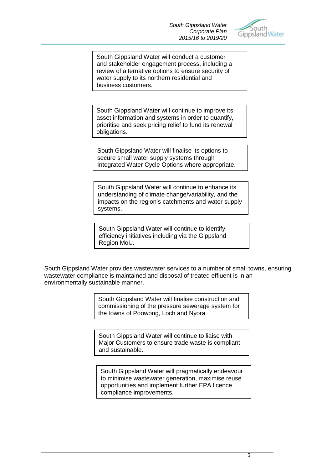

South Gippsland Water will conduct a customer and stakeholder engagement process, including a review of alternative options to ensure security of water supply to its northern residential and business customers.

South Gippsland Water will continue to improve its asset information and systems in order to quantify, prioritise and seek pricing relief to fund its renewal obligations.

South Gippsland Water will finalise its options to secure small water supply systems through Integrated Water Cycle Options where appropriate.

South Gippsland Water will continue to enhance its understanding of climate change/variability, and the impacts on the region's catchments and water supply systems.

South Gippsland Water will continue to identify efficiency initiatives including via the Gippsland Region MoU.

South Gippsland Water provides wastewater services to a number of small towns, ensuring wastewater compliance is maintained and disposal of treated effluent is in an environmentally sustainable manner.

> South Gippsland Water will finalise construction and commissioning of the pressure sewerage system for the towns of Poowong, Loch and Nyora.

> South Gippsland Water will continue to liaise with Major Customers to ensure trade waste is compliant and sustainable.

South Gippsland Water will pragmatically endeavour to minimise wastewater generation, maximise reuse opportunities and implement further EPA licence compliance improvements.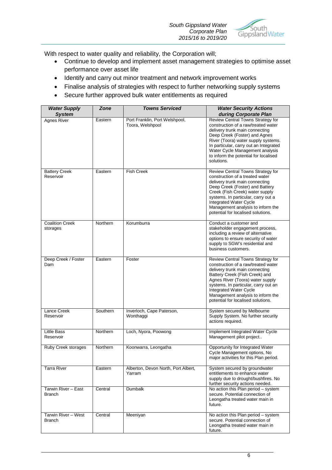

With respect to water quality and reliability, the Corporation will;

- Continue to develop and implement asset management strategies to optimise asset performance over asset life
- Identify and carry out minor treatment and network improvement works
- Finalise analysis of strategies with respect to further networking supply systems
- Secure further approved bulk water entitlements as required

| <b>Water Supply</b><br><b>System</b> | <b>Zone</b> | <b>Towns Serviced</b>                              | <b>Water Security Actions</b><br>during Corporate Plan                                                                                                                                                                                                                                                                        |
|--------------------------------------|-------------|----------------------------------------------------|-------------------------------------------------------------------------------------------------------------------------------------------------------------------------------------------------------------------------------------------------------------------------------------------------------------------------------|
| Agnes River                          | Eastern     | Port Franklin, Port Welshpool,<br>Toora, Welshpool | Review Central Towns Strategy for<br>construction of a raw/treated water<br>delivery trunk main connecting<br>Deep Creek (Foster) and Agnes<br>River (Toora) water supply systems.<br>In particular, carry out an Integrated<br>Water Cycle Management analysis<br>to inform the potential for localised<br>solutions.        |
| <b>Battery Creek</b><br>Reservoir    | Eastern     | <b>Fish Creek</b>                                  | Review Central Towns Strategy for<br>construction of a treated water<br>delivery trunk main connecting<br>Deep Creek (Foster) and Battery<br>Creek (Fish Creek) water supply<br>systems. In particular, carry out a<br>Integrated Water Cycle<br>Management analysis to inform the<br>potential for localised solutions.      |
| <b>Coalition Creek</b><br>storages   | Northern    | Korumburra                                         | Conduct a customer and<br>stakeholder engagement process,<br>including a review of alternative<br>options to ensure security of water<br>supply to SGW's residential and<br>business customers.                                                                                                                               |
| Deep Creek / Foster<br>Dam           | Eastern     | Foster                                             | Review Central Towns Strategy for<br>construction of a raw/treated water<br>delivery trunk main connecting<br>Battery Creek (Fish Creek) and<br>Agnes River (Toora) water supply<br>systems. In particular, carry out an<br>Integrated Water Cycle<br>Management analysis to inform the<br>potential for localised solutions. |
| Lance Creek<br>Reservoir             | Southern    | Inverloch, Cape Paterson,<br>Wonthaggi             | System secured by Melbourne<br>Supply System. No further security<br>actions required.                                                                                                                                                                                                                                        |
| <b>Little Bass</b><br>Reservoir      | Northern    | Loch, Nyora, Poowong                               | Implement Integrated Water Cycle<br>Management pilot project                                                                                                                                                                                                                                                                  |
| Ruby Creek storages                  | Northern    | Koonwarra, Leongatha                               | Opportunity for Integrated Water<br>Cycle Management options, No<br>major activities for this Plan period.                                                                                                                                                                                                                    |
| <b>Tarra River</b>                   | Eastern     | Alberton, Devon North, Port Albert,<br>Yarram      | System secured by groundwater<br>entitlements to enhance water<br>supply due to drought/bushfires. No<br>further security actions needed.                                                                                                                                                                                     |
| Tarwin River - East<br><b>Branch</b> | Central     | Dumbalk                                            | No action this Plan period - system<br>secure. Potential connection of<br>Leongatha treated water main in<br>future.                                                                                                                                                                                                          |
| Tarwin River - West<br><b>Branch</b> | Central     | Meeniyan                                           | No action this Plan period - system<br>secure. Potential connection of<br>Leongatha treated water main in<br>future.                                                                                                                                                                                                          |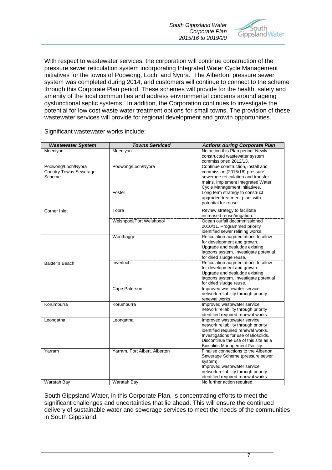

With respect to wastewater services, the corporation will continue construction of the pressure sewer reticulation system incorporating Integrated Water Cycle Management initiatives for the towns of Poowong, Loch, and Nyora. The Alberton, pressure sewer system was completed during 2014, and customers will continue to connect to the scheme through this Corporate Plan period. These schemes will provide for the health, safety and amenity of the local communities and address environmental concerns around ageing dysfunctional septic systems. In addition, the Corporation continues to investigate the potential for low cost waste water treatment options for small towns. The provision of these wastewater services will provide for regional development and growth opportunities.

| <b>Wastewater System</b>      | <b>Towns Serviced</b>         | <b>Actions during Corporate Plan</b>  |
|-------------------------------|-------------------------------|---------------------------------------|
| Meeniyan                      | Meeniyan                      | No action this Plan period. Newly     |
|                               |                               | constructed wastewater system         |
|                               |                               | commissioned 2012/13.                 |
| Poowong/Loch/Nyora            | Poowong/Loch/Nyora            | Continue construction, install and    |
| <b>Country Towns Sewerage</b> |                               | commission (2015/16) pressure         |
| Scheme                        |                               | sewerage reticulation and transfer    |
|                               |                               | mains. Implement Integrated Water     |
|                               |                               | Cycle Management initiatives.         |
|                               | Foster                        | Long term strategy to construct       |
|                               |                               | upgraded treatment plant with         |
|                               |                               | potential for reuse.                  |
| Corner Inlet                  | Toora                         | Review strategy to facilitate         |
|                               |                               | increased reuse/irrigation.           |
|                               | Welshpool/Port Welshpool      | Ocean outfall decommissioned          |
|                               |                               | 2010/11. Programmed priority          |
|                               |                               | identified sewer relining works.      |
|                               | Wonthaggi                     | Reticulation augmentations to allow   |
|                               |                               | for development and growth.           |
|                               |                               | Upgrade and desludge existing         |
|                               |                               | lagoons system. Investigate potential |
|                               |                               | for dried sludge reuse.               |
| Baxter's Beach                | Inverloch                     | Reticulation augmentations to allow   |
|                               |                               | for development and growth.           |
|                               |                               | Upgrade and desludge existing         |
|                               |                               | lagoons system. Investigate potential |
|                               |                               | for dried sludge reuse.               |
|                               | Cape Paterson                 | Improved wastewater service           |
|                               |                               | network reliability through priority  |
|                               |                               | renewal works.                        |
| Korumburra                    | Korumburra                    | Improved wastewater service           |
|                               |                               | network reliability through priority  |
|                               |                               | identified required renewal works.    |
| Leongatha                     | Leongatha                     | Improved wastewater service           |
|                               |                               | network reliability through priority  |
|                               |                               | identified required renewal works.    |
|                               |                               | Investigations for use of Biosolids.  |
|                               |                               | Discontinue the use of this site as a |
|                               |                               | Biosolids Management Facility.        |
| Yarram                        | Yarram, Port Albert, Alberton | Finalise connections to the Alberton  |
|                               |                               | Sewerage Scheme (pressure sewer       |
|                               |                               | system).                              |
|                               |                               | Improved wastewater service           |
|                               |                               | network reliability through priority  |
|                               |                               | identified required renewal works.    |
| Waratah Bay                   | <b>Waratah Bay</b>            | No further action required.           |

Significant wastewater works include:

South Gippsland Water, in this Corporate Plan, is concentrating efforts to meet the significant challenges and uncertainties that lie ahead. This will ensure the continued delivery of sustainable water and sewerage services to meet the needs of the communities in South Gippsland.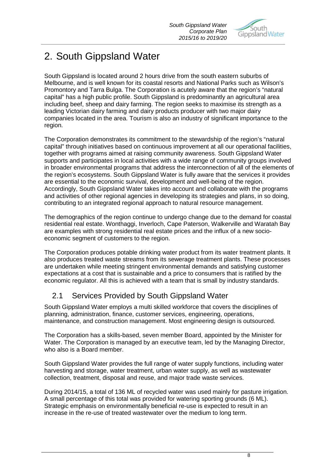

# 2. South Gippsland Water

South Gippsland is located around 2 hours drive from the south eastern suburbs of Melbourne, and is well known for its coastal resorts and National Parks such as Wilson's Promontory and Tarra Bulga. The Corporation is acutely aware that the region's "natural capital" has a high public profile. South Gippsland is predominantly an agricultural area including beef, sheep and dairy farming. The region seeks to maximise its strength as a leading Victorian dairy farming and dairy products producer with two major dairy companies located in the area. Tourism is also an industry of significant importance to the region.

The Corporation demonstrates its commitment to the stewardship of the region's "natural capital" through initiatives based on continuous improvement at all our operational facilities, together with programs aimed at raising community awareness. South Gippsland Water supports and participates in local activities with a wide range of community groups involved in broader environmental programs that address the interconnection of all of the elements of the region's ecosystems. South Gippsland Water is fully aware that the services it provides are essential to the economic survival, development and well-being of the region. Accordingly, South Gippsland Water takes into account and collaborate with the programs and activities of other regional agencies in developing its strategies and plans, in so doing, contributing to an integrated regional approach to natural resource management.

The demographics of the region continue to undergo change due to the demand for coastal residential real estate. Wonthaggi, Inverloch, Cape Paterson, Walkerville and Waratah Bay are examples with strong residential real estate prices and the influx of a new socioeconomic segment of customers to the region.

The Corporation produces potable drinking water product from its water treatment plants. It also produces treated waste streams from its sewerage treatment plants. These processes are undertaken while meeting stringent environmental demands and satisfying customer expectations at a cost that is sustainable and a price to consumers that is ratified by the economic regulator. All this is achieved with a team that is small by industry standards.

# 2.1 Services Provided by South Gippsland Water

South Gippsland Water employs a multi skilled workforce that covers the disciplines of planning, administration, finance, customer services, engineering, operations, maintenance, and construction management. Most engineering design is outsourced.

The Corporation has a skills-based, seven member Board, appointed by the Minister for Water. The Corporation is managed by an executive team, led by the Managing Director, who also is a Board member.

South Gippsland Water provides the full range of water supply functions, including water harvesting and storage, water treatment, urban water supply, as well as wastewater collection, treatment, disposal and reuse, and major trade waste services.

During 2014/15, a total of 136 ML of recycled water was used mainly for pasture irrigation. A small percentage of this total was provided for watering sporting grounds (6 ML). Strategic emphasis on environmentally beneficial re-use is expected to result in an increase in the re-use of treated wastewater over the medium to long term.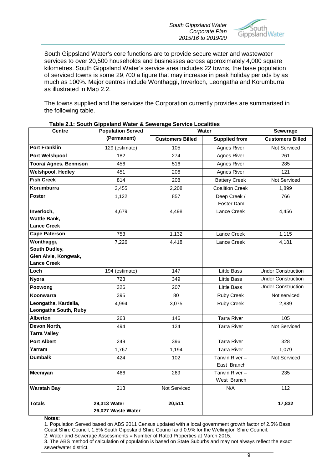*South Gippsland Water Corporate Plan 2015/16 to 2019/20*



South Gippsland Water's core functions are to provide secure water and wastewater services to over 20,500 households and businesses across approximately 4,000 square kilometres. South Gippsland Water's service area includes 22 towns, the base population of serviced towns is some 29,700 a figure that may increase in peak holiday periods by as much as 100%. Major centres include Wonthaggi, Inverloch, Leongatha and Korumburra as illustrated in Map 2.2.

The towns supplied and the services the Corporation currently provides are summarised in the following table.

| <b>Centre</b>                                 | <b>Population Served</b>           | <b>Water</b>            | Sewerage                     |                           |
|-----------------------------------------------|------------------------------------|-------------------------|------------------------------|---------------------------|
|                                               | (Permanent)                        | <b>Customers Billed</b> | <b>Supplied from</b>         | <b>Customers Billed</b>   |
| <b>Port Franklin</b>                          | 129 (estimate)                     | 105                     | <b>Agnes River</b>           | Not Serviced              |
| <b>Port Welshpool</b>                         | 182                                | 274                     | Agnes River                  | 261                       |
| <b>Toora/ Agnes, Bennison</b>                 | 456                                | 516                     | Agnes River                  | 285                       |
| <b>Welshpool, Hedley</b>                      | 451                                | 206                     | Agnes River                  | 121                       |
| <b>Fish Creek</b>                             | 814                                | 208                     | <b>Battery Creek</b>         | Not Serviced              |
| Korumburra                                    | 3,455                              | 2,208                   | <b>Coalition Creek</b>       | 1,899                     |
| <b>Foster</b>                                 | 1,122                              | 857                     | Deep Creek /<br>Foster Dam   | 766                       |
| Inverloch,                                    | 4,679                              | 4,498                   | Lance Creek                  | 4,456                     |
| <b>Wattle Bank,</b>                           |                                    |                         |                              |                           |
| <b>Lance Creek</b>                            |                                    |                         |                              |                           |
| <b>Cape Paterson</b>                          | 753                                | 1,132                   | Lance Creek                  | 1,115                     |
| Wonthaggi,                                    | 7,226                              | 4,418                   | Lance Creek                  | 4,181                     |
| South Dudley,<br>Glen Alvie, Kongwak,         |                                    |                         |                              |                           |
| <b>Lance Creek</b>                            |                                    |                         |                              |                           |
| Loch                                          | 194 (estimate)                     | 147                     | Little Bass                  | <b>Under Construction</b> |
| <b>Nyora</b>                                  | 723                                | 349                     | <b>Little Bass</b>           | <b>Under Construction</b> |
| Poowong                                       | 326                                | 207                     | <b>Little Bass</b>           | <b>Under Construction</b> |
| Koonwarra                                     | 395                                | 80                      | Ruby Creek                   | Not serviced              |
| Leongatha, Kardella,<br>Leongatha South, Ruby | 4,994                              | 3,075                   | Ruby Creek                   | 2,889                     |
| <b>Alberton</b>                               | 263                                | 146                     | <b>Tarra River</b>           | 105                       |
| Devon North,                                  | 494                                | 124                     | <b>Tarra River</b>           | Not Serviced              |
| <b>Tarra Valley</b>                           |                                    |                         |                              |                           |
| <b>Port Albert</b>                            | 249                                | 396                     | Tarra River                  | 328                       |
| Yarram                                        | 1,767                              | 1,194                   | <b>Tarra River</b>           | 1,079                     |
| <b>Dumbalk</b>                                | 424                                | 102                     | Tarwin River-<br>East Branch | Not Serviced              |
| Meeniyan                                      | 466                                | 269                     | Tarwin River-<br>West Branch | 235                       |
| <b>Waratah Bay</b>                            | 213                                | Not Serviced            | N/A                          | 112                       |
| <b>Totals</b>                                 | 29,313 Water<br>26,027 Waste Water | 20,511                  |                              | 17,832                    |

### **Table 2.1: South Gippsland Water & Sewerage Service Localities**

**Notes:**

1. Population Served based on ABS 2011 Census updated with a local government growth factor of 2.5% Bass Coast Shire Council, 1.5% South Gippsland Shire Council and 0.9% for the Wellington Shire Council.

2. Water and Sewerage Assessments = Number of Rated Properties at March 2015.

3. The ABS method of calculation of population is based on State Suburbs and may not always reflect the exact sewer/water district.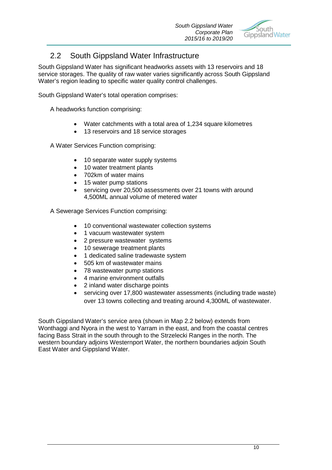

# 2.2 South Gippsland Water Infrastructure

South Gippsland Water has significant headworks assets with 13 reservoirs and 18 service storages. The quality of raw water varies significantly across South Gippsland Water's region leading to specific water quality control challenges.

South Gippsland Water's total operation comprises:

A headworks function comprising:

- Water catchments with a total area of 1,234 square kilometres
- 13 reservoirs and 18 service storages

A Water Services Function comprising:

- 10 separate water supply systems
- 10 water treatment plants
- 702km of water mains
- 15 water pump stations
- servicing over 20,500 assessments over 21 towns with around 4,500ML annual volume of metered water

A Sewerage Services Function comprising:

- 10 conventional wastewater collection systems
- 1 vacuum wastewater system
- 2 pressure wastewater systems
- 10 sewerage treatment plants
- 1 dedicated saline tradewaste system
- 505 km of wastewater mains
- 78 wastewater pump stations
- 4 marine environment outfalls
- 2 inland water discharge points
- servicing over 17,800 wastewater assessments (including trade waste) over 13 towns collecting and treating around 4,300ML of wastewater.

South Gippsland Water's service area (shown in Map 2.2 below) extends from Wonthaggi and Nyora in the west to Yarram in the east, and from the coastal centres facing Bass Strait in the south through to the Strzelecki Ranges in the north. The western boundary adjoins Westernport Water, the northern boundaries adjoin South East Water and Gippsland Water.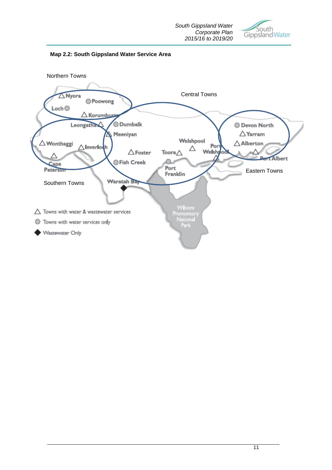



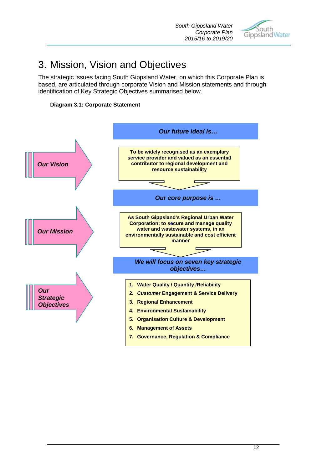

# 3. Mission, Vision and Objectives

The strategic issues facing South Gippsland Water, on which this Corporate Plan is based, are articulated through corporate Vision and Mission statements and through identification of Key Strategic Objectives summarised below.



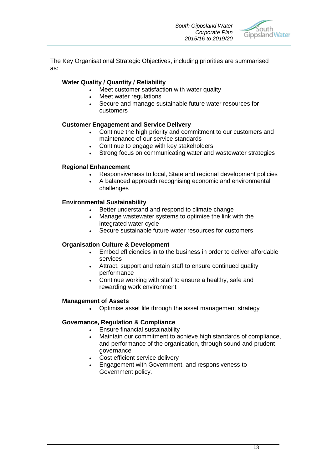

The Key Organisational Strategic Objectives, including priorities are summarised as:

### **Water Quality / Quantity / Reliability**

- Meet customer satisfaction with water quality
- Meet water regulations
- Secure and manage sustainable future water resources for customers

### **Customer Engagement and Service Delivery**

- Continue the high priority and commitment to our customers and maintenance of our service standards
- Continue to engage with key stakeholders
- Strong focus on communicating water and wastewater strategies

### **Regional Enhancement**

- Responsiveness to local, State and regional development policies
- A balanced approach recognising economic and environmental challenges

### **Environmental Sustainability**

- Better understand and respond to climate change
- Manage wastewater systems to optimise the link with the integrated water cycle
- Secure sustainable future water resources for customers

### **Organisation Culture & Development**

- Embed efficiencies in to the business in order to deliver affordable services
- Attract, support and retain staff to ensure continued quality performance
- Continue working with staff to ensure a healthy, safe and rewarding work environment

### **Management of Assets**

• Optimise asset life through the asset management strategy

### **Governance, Regulation & Compliance**

- Ensure financial sustainability
- Maintain our commitment to achieve high standards of compliance, and performance of the organisation, through sound and prudent governance
- Cost efficient service delivery
- Engagement with Government, and responsiveness to Government policy.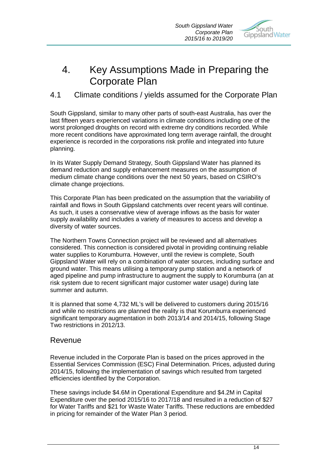*South Gippsland Water Corporate Plan 2015/16 to 2019/20*



# 4. Key Assumptions Made in Preparing the Corporate Plan

### 4.1 Climate conditions / yields assumed for the Corporate Plan

South Gippsland, similar to many other parts of south-east Australia, has over the last fifteen years experienced variations in climate conditions including one of the worst prolonged droughts on record with extreme dry conditions recorded. While more recent conditions have approximated long term average rainfall, the drought experience is recorded in the corporations risk profile and integrated into future planning.

In its Water Supply Demand Strategy, South Gippsland Water has planned its demand reduction and supply enhancement measures on the assumption of medium climate change conditions over the next 50 years, based on CSIRO's climate change projections.

This Corporate Plan has been predicated on the assumption that the variability of rainfall and flows in South Gippsland catchments over recent years will continue. As such, it uses a conservative view of average inflows as the basis for water supply availability and includes a variety of measures to access and develop a diversity of water sources.

The Northern Towns Connection project will be reviewed and all alternatives considered. This connection is considered pivotal in providing continuing reliable water supplies to Korumburra. However, until the review is complete. South Gippsland Water will rely on a combination of water sources, including surface and ground water. This means utilising a temporary pump station and a network of aged pipeline and pump infrastructure to augment the supply to Korumburra (an at risk system due to recent significant major customer water usage) during late summer and autumn.

It is planned that some 4,732 ML's will be delivered to customers during 2015/16 and while no restrictions are planned the reality is that Korumburra experienced significant temporary augmentation in both 2013/14 and 2014/15, following Stage Two restrictions in 2012/13.

### Revenue

Revenue included in the Corporate Plan is based on the prices approved in the Essential Services Commission (ESC) Final Determination. Prices, adjusted during 2014/15, following the implementation of savings which resulted from targeted efficiencies identified by the Corporation.

These savings include \$4.6M in Operational Expenditure and \$4.2M in Capital Expenditure over the period 2015/16 to 2017/18 and resulted in a reduction of \$27 for Water Tariffs and \$21 for Waste Water Tariffs. These reductions are embedded in pricing for remainder of the Water Plan 3 period.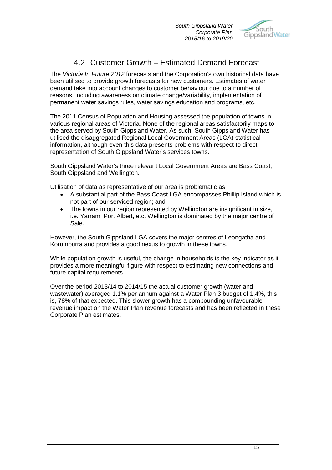

# 4.2 Customer Growth – Estimated Demand Forecast

The *Victoria In Future 2012* forecasts and the Corporation's own historical data have been utilised to provide growth forecasts for new customers. Estimates of water demand take into account changes to customer behaviour due to a number of reasons, including awareness on climate change/variability, implementation of permanent water savings rules, water savings education and programs, etc.

The 2011 Census of Population and Housing assessed the population of towns in various regional areas of Victoria. None of the regional areas satisfactorily maps to the area served by South Gippsland Water. As such, South Gippsland Water has utilised the disaggregated Regional Local Government Areas (LGA) statistical information, although even this data presents problems with respect to direct representation of South Gippsland Water's services towns.

South Gippsland Water's three relevant Local Government Areas are Bass Coast, South Gippsland and Wellington.

Utilisation of data as representative of our area is problematic as:

- A substantial part of the Bass Coast LGA encompasses Phillip Island which is not part of our serviced region; and
- The towns in our region represented by Wellington are insignificant in size, i.e. Yarram, Port Albert, etc. Wellington is dominated by the major centre of Sale.

However, the South Gippsland LGA covers the major centres of Leongatha and Korumburra and provides a good nexus to growth in these towns.

While population growth is useful, the change in households is the key indicator as it provides a more meaningful figure with respect to estimating new connections and future capital requirements.

Over the period 2013/14 to 2014/15 the actual customer growth (water and wastewater) averaged 1.1% per annum against a Water Plan 3 budget of 1.4%, this is, 78% of that expected. This slower growth has a compounding unfavourable revenue impact on the Water Plan revenue forecasts and has been reflected in these Corporate Plan estimates.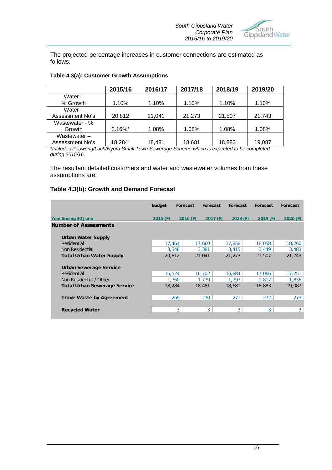

The projected percentage increases in customer connections are estimated as follows.

|                 | 2015/16    | 2016/17 | 2017/18 | 2018/19 | 2019/20 |
|-----------------|------------|---------|---------|---------|---------|
| Water $-$       |            |         |         |         |         |
| % Growth        | 1.10%      | 1.10%   | 1.10%   | 1.10%   | 1.10%   |
| Water $-$       |            |         |         |         |         |
| Assessment No's | 20,812     | 21,041  | 21,273  | 21,507  | 21,743  |
| Wastewater - %  |            |         |         |         |         |
| Growth          | $2.16\%$ * | 1.08%   | 1.08%   | 1.08%   | 1.08%   |
| Wastewater $-$  |            |         |         |         |         |
| Assessment No's | 18,284*    | 18,481  | 18,681  | 18,883  | 19,087  |

*\*Includes Poowong/Loch/Nyora Small Town Sewerage Scheme which is expected to be completed during 2015/16.* 

The resultant detailed customers and water and wastewater volumes from these assumptions are:

### **Table 4.3(b): Growth and Demand Forecast**

|                                     | <b>Budget</b> | Forecast | <b>Forecast</b> | <b>Forecast</b> | <b>Forecast</b> | <b>Forecast</b> |
|-------------------------------------|---------------|----------|-----------------|-----------------|-----------------|-----------------|
| <b>Year Ending 30 June</b>          | 2015(F)       | 2016(F)  | 2017(F)         | 2018(F)         | 2019(F)         | 2020(F)         |
| <b>Number of Assessments</b>        |               |          |                 |                 |                 |                 |
| <b>Urban Water Supply</b>           |               |          |                 |                 |                 |                 |
| Residential                         | 17.464        |          | 17,660          | 17,858          | 18,058          | 18,260          |
| Non Residential                     | 3.348         |          | 3.381           | 3.415           | 3.449           | 3,483           |
| <b>Total Urban Water Supply</b>     | 20,812        |          | 21,041          | 21,273          | 21,507          | 21,743          |
| Urban Sewerage Service              |               |          |                 |                 |                 |                 |
| Residential                         | 16,524        |          | 16,702          | 16,884          | 17,066          | 17,251          |
| Non Residential / Other             | 1,760         |          | 1,779           | 1,797           | 1,817           | 1,836           |
| <b>Total Urban Sewerage Service</b> | 18,284        |          | 18,481          | 18,681          | 18,883          | 19,087          |
| <b>Trade Waste by Agreement</b>     | 269           |          | 270             | 271             | 272             | 273             |
|                                     |               |          |                 |                 |                 |                 |
| <b>Recycled Water</b>               |               | 3        | 3               | 3               | 3               | 3 <sup>1</sup>  |
|                                     |               |          |                 |                 |                 |                 |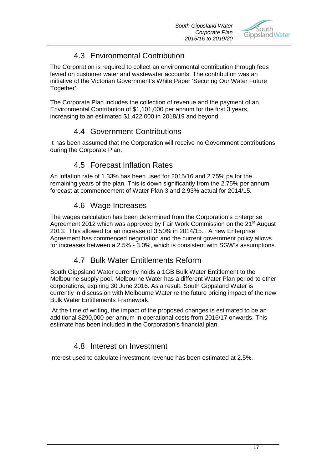

# 4.3 Environmental Contribution

The Corporation is required to collect an environmental contribution through fees levied on customer water and wastewater accounts. The contribution was an initiative of the Victorian Government's White Paper 'Securing Our Water Future Together'.

The Corporate Plan includes the collection of revenue and the payment of an Environmental Contribution of \$1,101,000 per annum for the first 3 years, increasing to an estimated \$1,422,000 in 2018/19 and beyond.

# 4.4 Government Contributions

It has been assumed that the Corporation will receive no Government contributions during the Corporate Plan..

# 4.5 Forecast Inflation Rates

An inflation rate of 1.33% has been used for 2015/16 and 2.75% pa for the remaining years of the plan. This is down significantly from the 2.75% per annum forecast at commencement of Water Plan 3 and 2.93% actual for 2014/15.

### 4.6 Wage Increases

The wages calculation has been determined from the Corporation's Enterprise Agreement 2012 which was approved by Fair Work Commission on the 21<sup>st</sup> August 2013. This allowed for an increase of 3.50% in 2014/15. . A new Enterprise Agreement has commenced negotiation and the current government policy allows for increases between a 2.5% - 3.0%, which is consistent with SGW's assumptions.

# 4.7 Bulk Water Entitlements Reform

South Gippsland Water currently holds a 1GB Bulk Water Entitlement to the Melbourne supply pool. Melbourne Water has a different Water Plan period to other corporations, expiring 30 June 2016. As a result, South Gippsland Water is currently in discussion with Melbourne Water re the future pricing impact of the new Bulk Water Entitlements Framework.

At the time of writing, the impact of the proposed changes is estimated to be an additional \$290,000 per annum in operational costs from 2016/17 onwards. This estimate has been included in the Corporation's financial plan.

# 4.8 Interest on Investment

Interest used to calculate investment revenue has been estimated at 2.5%.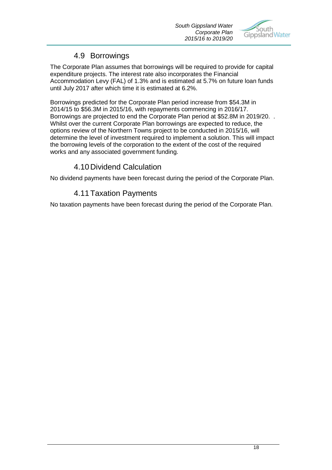

# 4.9 Borrowings

The Corporate Plan assumes that borrowings will be required to provide for capital expenditure projects. The interest rate also incorporates the Financial Accommodation Levy (FAL) of 1.3% and is estimated at 5.7% on future loan funds until July 2017 after which time it is estimated at 6.2%.

Borrowings predicted for the Corporate Plan period increase from \$54.3M in 2014/15 to \$56.3M in 2015/16, with repayments commencing in 2016/17. Borrowings are projected to end the Corporate Plan period at \$52.8M in 2019/20. . Whilst over the current Corporate Plan borrowings are expected to reduce, the options review of the Northern Towns project to be conducted in 2015/16, will determine the level of investment required to implement a solution. This will impact the borrowing levels of the corporation to the extent of the cost of the required works and any associated government funding.

# 4.10Dividend Calculation

No dividend payments have been forecast during the period of the Corporate Plan.

# 4.11Taxation Payments

No taxation payments have been forecast during the period of the Corporate Plan.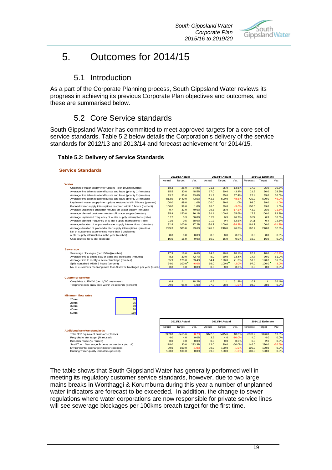

# 5. Outcomes for 2014/15

### 5.1 Introduction

As a part of the Corporate Planning process, South Gippsland Water reviews its progress in achieving its previous Corporate Plan objectives and outcomes, and these are summarised below.

### 5.2 Core Service standards

South Gippsland Water has committed to meet approved targets for a core set of service standards. Table 5.2 below details the Corporation's delivery of the service standards for 2012/13 and 2013/14 and forecast achievement for 2014/15.

### **Table 5.2: Delivery of Service Standards**

### **Service Standards**

|                                                                         |             | 2012/13 Actual |         |        | 2013/14 Actual |          | 2014/15 Estimate |                  |          |
|-------------------------------------------------------------------------|-------------|----------------|---------|--------|----------------|----------|------------------|------------------|----------|
|                                                                         | Actual      | Target         | Var.    | Actual | Target         | Var.     | Forecast         | Target           | Var.     |
| Water                                                                   |             |                |         |        |                |          |                  |                  |          |
| Unplanned w ater supply interruptions (per 100km)(number)               | 18.3        | 28.0           | 34.8%   | 21.6   | 25.0           | 13.6%    | 17.3             | 25.0             | 30.8%    |
| Average time taken to attend bursts and leaks (priority 1)(minutes)     | 15.5        | 30.0           | 48.5%   | 17.0   | 30.0           | 43.4%    | 21.2             | 30.0             | 29.3%    |
| Average time taken to attend bursts and leaks (priority 2)(minutes)     | 23.2        | 35.0           | 33.6%   | 21.9   | 35.0           | 37.4%    | 22.4             | 35.0             | 36.0%    |
| Average time taken to attend bursts and leaks (priority 3)(minutes)     | 813.9       | 1440.0         | 43.5%   | 742.3  | 500.0          | $-48.5%$ | 729.9            | 500.0            | $-46.0%$ |
| Unplanned w ater supply interruptions restored within 5 hours (percent) | 100.0       | 99.0           | 1.0%    | 100.0  | 99.0           | 1.0%     | 98.0             | 99.0             | $-1.0%$  |
| Planned w ater supply interruptions restored within 5 hours (percent)   | 100.0       | 99.0           | 1.0%    | 96.0   | 99.0           | $-3.0%$  | 100.0            | 99.0             | 1.0%     |
| Average unplanned customer minutes off water supply (minutes)           | 9.7         | 33.0           | 70.6%   | 29.3   | 25.0           | $-17.1%$ | 42.9             | 25.0             | $-71.6%$ |
| Average planned customer minutes off water supply (minutes)             | 35.9        | 150.0          | 76.1%   | 34.4   | 100.0          | 65.6%    | 17.8             | 100.0            | 82.2%    |
| Average unplanned frequency of water supply interruptions (ratio)       | 0.12        | 0.3            | 60.0%   | 0.22   | 0.3            | 26.7%    | 0.27             | 0.3              | 10.0%    |
| Average planned frequency of water supply interruptions (ratio)         | 0.16        | 0.5            | 68.0%   | 0.19   | 0.4            | 52.5%    | 0.11             | 0.4              | 72.5%    |
| Average duration of unplanned w ater supply interruptions (minutes)     | 82.8        | 100.0          | 17.2%   | 134.2  | 100.0          | $-34.2%$ | 161.7            | 100.0            | $-61.7%$ |
| Average duration of planned w ater supply interruptions (minutes)       | 229.3       | 300.0          | 23.6%   | 176.9  | 240.0          | 26.3%    | 162.4            | 240.0            | 32.3%    |
| No. of customers experiencing more than 5 unplanned                     |             |                |         |        |                |          |                  |                  |          |
| w ater supply interruptions in the year (number)                        | 0.0         | 0.0            | 0.0%    | 0.0    | 0.0            | 0.0%     | 0.0              | 0.0              | 0.0%     |
| Unaccounted for water (percent)                                         | 16.0        | 16.0           | 0.0%    | 16.0   | 16.0           | 0.0%     | 16.0             | 16.0             | 0.0%     |
|                                                                         |             |                |         |        |                |          |                  |                  |          |
| <b>Sewerage</b>                                                         |             |                |         |        |                |          |                  |                  |          |
| Sew erage blockages (per 100km)(number)                                 | 17.9        | 18.0           | 0.6%    | 14.8   | 18.0           | 18.1%    | 20.2             | 18.0             | $-12.2%$ |
| Average time to attend sew er spills and blockages (minutes)            | 8.2         | 30.0           | 72.7%   | 8.0    | 30.0           | 73.4%    | 14.7             | 30.0             | 51.0%    |
| Average time to rectify a sew er blockage (minutes)                     | 55.9        | 120.0          | 53.4%   | 34.4   | 120.0          | 71.3%    | 57.9             | 120.0            | 51.8%    |
| Spills contained w ithin 5 hours (percent)                              | 94.0<br>0.0 | 100.0          | $-6.0%$ | 98.0   | 100.0          | $-2.0%$  | 97.0             | 100.0            | $-3.0%$  |
| No. of customers receiving more than 3 sew er blockages per year (numbe |             | 0.0            | 0.0%    | 0.0    | 0.0            | 0.0%     | 0.0              | 0.0              | 0.0%     |
|                                                                         |             |                |         |        |                |          |                  |                  |          |
| <b>Customer service</b>                                                 |             |                |         |        |                |          |                  |                  |          |
| Complaints to EWOV (per 1,000 customers)                                | 0.9         | 1.1            | 18.2%   | 0.5    | 1.1            | 51.8%    | 0.7              | 1.1              | 36.4%    |
| Telephone calls answ ered w ithin 30 seconds (percent)                  | 99.0        | 98.0           | 1.0%    | 97.0   | 98.0           | $-1.0%$  | 98.0             | 98.0             | 0.0%     |
|                                                                         |             |                |         |        |                |          |                  |                  |          |
|                                                                         |             |                |         |        |                |          |                  |                  |          |
| <b>Minimum flow rates</b>                                               |             |                |         |        |                |          |                  |                  |          |
| 20mm<br>20                                                              |             |                |         |        |                |          |                  |                  |          |
| 35<br>25 <sub>mm</sub>                                                  |             |                |         |        |                |          |                  |                  |          |
| 60<br>32 <sub>mm</sub>                                                  |             |                |         |        |                |          |                  |                  |          |
| 90<br>40mm                                                              |             |                |         |        |                |          |                  |                  |          |
| 160<br>50mm                                                             |             |                |         |        |                |          |                  |                  |          |
|                                                                         |             |                |         |        |                |          |                  |                  |          |
|                                                                         |             | 2012/13 Actual |         |        | 2013/14 Actual |          |                  | 2014/15 Estimate |          |
|                                                                         | Actual      | Target         | Var.    | Actual | Target         | Var.     | Forecast         | Target           | Var.     |
| <b>Additional service standards</b>                                     |             |                |         |        |                |          |                  |                  |          |
| Total CO2 equivalent Emissions (Tonne)                                  | 8359.0      | 8415.6         | 0.7%    | 6872.0 | 8415.6         | 18.3%    | 7078.2           | 8826.0           | 19.8%    |
| Recycled w ater target (% reused)                                       |             | 4.0            | 0.0%    | 3.6    | 4.0            | $-10.0%$ | 4.0              | 4.0              | 0.0%     |
| Biosolids reuse (% reused)                                              | 4.0<br>0.0  | 0.0            | 0.0%    | 0.0    | 0.0            | 0.0%     | 0.0              | 2.0              | 0.0%     |
| Small Town Sew erage Scheme connections (no. of)                        | 118.0       | 30.0           | 293.3%  | 12.0   | 30.0           | $-60.0%$ | 146.0            | 230.0            | $-36.5%$ |
| Environmental discharge indicator (percent)                             | 99.0        | 100.0          | $-1.0%$ | 99.0   | 100.0          | $-1.0%$  | 100.0            | 100.0            | 0.0%     |
| Drinking w ater quality indicators (percent)                            | 100.0       | 100.0          | 0.0%    | 99.0   | 100.0          | $-1.0%$  | 100.0            | 100.0            | 0.0%     |

The table shows that South Gippsland Water has generally performed well in meeting its regulatory customer service standards, however, due to two large mains breaks in Wonthaggi & Korumburra during this year a number of unplanned water indicators are forecast to be exceeded. In addition, the change to sewer regulations where water corporations are now responsible for private service lines will see sewerage blockages per 100kms breach target for the first time.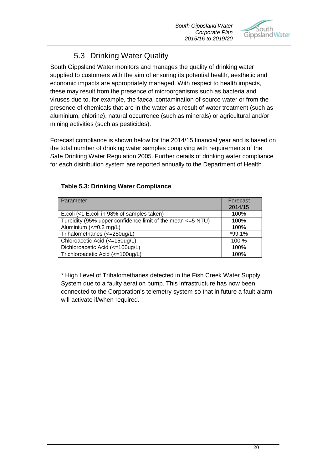

# 5.3 Drinking Water Quality

South Gippsland Water monitors and manages the quality of drinking water supplied to customers with the aim of ensuring its potential health, aesthetic and economic impacts are appropriately managed. With respect to health impacts, these may result from the presence of microorganisms such as bacteria and viruses due to, for example, the faecal contamination of source water or from the presence of chemicals that are in the water as a result of water treatment (such as aluminium, chlorine), natural occurrence (such as minerals) or agricultural and/or mining activities (such as pesticides).

Forecast compliance is shown below for the 2014/15 financial year and is based on the total number of drinking water samples complying with requirements of the Safe Drinking Water Regulation 2005. Further details of drinking water compliance for each distribution system are reported annually to the Department of Health.

| Parameter                                                   | Forecast |
|-------------------------------------------------------------|----------|
|                                                             | 2014/15  |
| E.coli (<1 E.coli in 98% of samples taken)                  | 100%     |
| Turbidity (95% upper confidence limit of the mean <= 5 NTU) | 100%     |
| Aluminium $\left(\leq=0.2\right)$ mg/L)                     | 100%     |
| Trihalomethanes (<=250ug/L)                                 | $*99.1%$ |
| Chloroacetic Acid (<=150ug/L)                               | 100 %    |
| Dichloroacetic Acid (<=100ug/L)                             | 100%     |
| Trichloroacetic Acid (<=100ug/L)                            | 100%     |

### **Table 5.3: Drinking Water Compliance**

\* High Level of Trihalomethanes detected in the Fish Creek Water Supply System due to a faulty aeration pump. This infrastructure has now been connected to the Corporation's telemetry system so that in future a fault alarm will activate if/when required.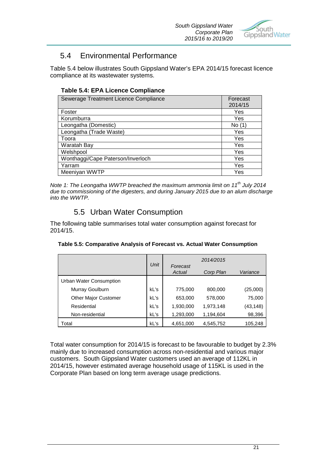

# 5.4 Environmental Performance

Table 5.4 below illustrates South Gippsland Water's EPA 2014/15 forecast licence compliance at its wastewater systems.

### **Table 5.4: EPA Licence Compliance**

| Sewerage Treatment Licence Compliance | Forecast |
|---------------------------------------|----------|
|                                       | 2014/15  |
| Foster                                | Yes      |
| Korumburra                            | Yes      |
| Leongatha (Domestic)                  | No (1)   |
| Leongatha (Trade Waste)               | Yes      |
| Toora                                 | Yes      |
| Waratah Bay                           | Yes      |
| Welshpool                             | Yes      |
| Wonthaggi/Cape Paterson/Inverloch     | Yes      |
| Yarram                                | Yes      |
| Meeniyan WWTP                         | Yes      |

*Note 1: The Leongatha WWTP breached the maximum ammonia limit on 11th July 2014 due to commissioning of the digesters, and during January 2015 due to an alum discharge into the WWTP.*

# 5.5 Urban Water Consumption

The following table summarises total water consumption against forecast for 2014/15.

| Table 5.5: Comparative Analysis of Forecast vs. Actual Water Consumption |  |  |
|--------------------------------------------------------------------------|--|--|
|                                                                          |  |  |

|                             |      |                    | 2014/2015 |          |
|-----------------------------|------|--------------------|-----------|----------|
|                             | Unit | Forecast<br>Actual | Corp Plan | Variance |
| Urban Water Consumption     |      |                    |           |          |
| Murray Goulburn             | kL's | 775,000            | 800,000   | (25,000) |
| <b>Other Major Customer</b> | kL's | 653,000            | 578,000   | 75,000   |
| Residential                 | kL's | 1,930,000          | 1,973,148 | (43,148) |
| Non-residential             | kL's | 1,293,000          | 1,194,604 | 98,396   |
| Total                       | kL's | 4,651,000          | 4,545,752 | 105,248  |

Total water consumption for 2014/15 is forecast to be favourable to budget by 2.3% mainly due to increased consumption across non-residential and various major customers. South Gippsland Water customers used an average of 112KL in 2014/15, however estimated average household usage of 115KL is used in the Corporate Plan based on long term average usage predictions.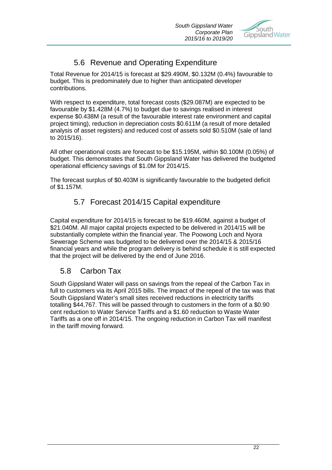

# 5.6 Revenue and Operating Expenditure

Total Revenue for 2014/15 is forecast at \$29.490M, \$0.132M (0.4%) favourable to budget. This is predominately due to higher than anticipated developer contributions.

With respect to expenditure, total forecast costs (\$29.087M) are expected to be favourable by \$1.428M (4.7%) to budget due to savings realised in interest expense \$0.438M (a result of the favourable interest rate environment and capital project timing), reduction in depreciation costs \$0.611M (a result of more detailed analysis of asset registers) and reduced cost of assets sold \$0.510M (sale of land to 2015/16).

All other operational costs are forecast to be \$15.195M, within \$0.100M (0.05%) of budget. This demonstrates that South Gippsland Water has delivered the budgeted operational efficiency savings of \$1.0M for 2014/15.

The forecast surplus of \$0.403M is significantly favourable to the budgeted deficit of \$1.157M.

# 5.7 Forecast 2014/15 Capital expenditure

Capital expenditure for 2014/15 is forecast to be \$19.460M, against a budget of \$21.040M. All major capital projects expected to be delivered in 2014/15 will be substantially complete within the financial year. The Poowong Loch and Nyora Sewerage Scheme was budgeted to be delivered over the 2014/15 & 2015/16 financial years and while the program delivery is behind schedule it is still expected that the project will be delivered by the end of June 2016.

# 5.8 Carbon Tax

South Gippsland Water will pass on savings from the repeal of the Carbon Tax in full to customers via its April 2015 bills. The impact of the repeal of the tax was that South Gippsland Water's small sites received reductions in electricity tariffs totalling \$44,767. This will be passed through to customers in the form of a \$0.90 cent reduction to Water Service Tariffs and a \$1.60 reduction to Waste Water Tariffs as a one off in 2014/15. The ongoing reduction in Carbon Tax will manifest in the tariff moving forward.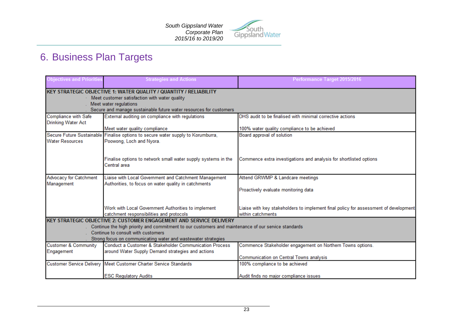

# 6. Business Plan Targets

| <b>Objectives and Priorities</b>                         | <b>Strategies and Actions</b>                                                                                | Performance Target 2015/2016                                                         |
|----------------------------------------------------------|--------------------------------------------------------------------------------------------------------------|--------------------------------------------------------------------------------------|
|                                                          | <b>KEY STRATEGIC OBJECTIVE 1: WATER QUALITY / QUANTITY / RELIABILITY</b>                                     |                                                                                      |
|                                                          | Meet customer satisfaction with water quality                                                                |                                                                                      |
|                                                          | Meet water regulations                                                                                       |                                                                                      |
|                                                          | Secure and manage sustainable future water resources for customers                                           |                                                                                      |
| <b>Compliance with Safe</b><br><b>Drinking Water Act</b> | External auditing on compliance with regulations                                                             | DHS audit to be finalised with minimal corrective actions                            |
|                                                          | Meet water quality compliance                                                                                | 100% water quality compliance to be achieved                                         |
| <b>Water Resources</b>                                   | Secure Future Sustainable Finalise options to secure water supply to Korumburra,<br>Poowong, Loch and Nyora. | Board approval of solution                                                           |
|                                                          |                                                                                                              |                                                                                      |
|                                                          | Finalise options to network small water supply systems in the<br>Central area                                | Commence extra investigations and analysis for shortlisted options                   |
| Advocacy for Catchment                                   | Liaise with Local Government and Catchment Management                                                        | Attend GRWMP & Landcare meetings                                                     |
| Management                                               | Authorities, to focus on water quality in catchments                                                         |                                                                                      |
|                                                          |                                                                                                              | Proactively evaluate monitoring data                                                 |
|                                                          | Work with Local Government Authorities to implement                                                          | Liaise with key stakeholders to implement final policy for assessment of development |
|                                                          | catchment responsibilities and protocols                                                                     | within catchments                                                                    |
|                                                          | KEY STRATEGIC OBJECTIVE 2: CUSTOMER ENGAGEMENT AND SERVICE DELIVERY                                          |                                                                                      |
|                                                          | Continue the high priority and commitment to our customers and maintenance of our service standards          |                                                                                      |
|                                                          | Continue to consult with customers                                                                           |                                                                                      |
|                                                          | Strong focus on communicating water and wastewater strategies                                                |                                                                                      |
| Customer & Community                                     | Conduct a Customer & Stakeholder Communication Process                                                       | Commence Stakeholder engagement on Northern Towns options.                           |
| Engagement                                               | around Water Supply Demand strategies and actions                                                            |                                                                                      |
|                                                          |                                                                                                              | Communication on Central Towns analysis                                              |
|                                                          | Customer Service Delivery Meet Customer Charter Service Standards                                            | 100% compliance to be achieved                                                       |
|                                                          | <b>ESC Regulatory Audits</b>                                                                                 | Audit finds no maior compliance issues                                               |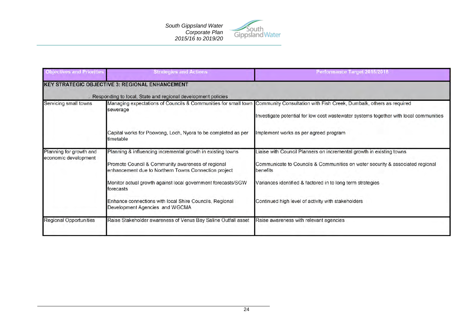

| <b>Objectives and Priorities</b>                | <b>Strategies and Actions</b>                                                                                                                                                                                                                                                                                                                      | Performance Target 2015/2016                                                                                                                                                                                                                                                          |
|-------------------------------------------------|----------------------------------------------------------------------------------------------------------------------------------------------------------------------------------------------------------------------------------------------------------------------------------------------------------------------------------------------------|---------------------------------------------------------------------------------------------------------------------------------------------------------------------------------------------------------------------------------------------------------------------------------------|
|                                                 | <b>KEY STRATEGIC OBJECTIVE 3: REGIONAL ENHANCEMENT</b><br>Responding to local, State and regional development policies                                                                                                                                                                                                                             |                                                                                                                                                                                                                                                                                       |
| Servicing small towns                           | sewerage                                                                                                                                                                                                                                                                                                                                           | Managing expectations of Councils & Communities for small town Community Consultation with Fish Creek, Dumbalk, others as required<br>Investigate potential for low cost wastewater systems together with local communities                                                           |
|                                                 | Capital works for Poowong, Loch, Nyora to be completed as per<br>timetable                                                                                                                                                                                                                                                                         | Implement works as per agreed program                                                                                                                                                                                                                                                 |
| Planning for growth and<br>economic development | Planning & influencing incremental growth in existing towns<br>Promote Council & Community awareness of regional<br>enhancement due to Northern Towns Connection project<br>Monitor actual growth against local government forecasts/SGW<br>forecasts<br>Enhance connections with local Shire Councils, Regional<br>Development Agencies and WGCMA | Liaise with Council Planners on incremental growth in existing towns<br>Communicate to Councils & Communities on water security & associated regional<br>benefits<br>Variances identified & factored in to long term strategies<br>Continued high level of activity with stakeholders |
| <b>Regional Opportunities</b>                   | Raise Stakeholder awareness of Venus Bay Saline Outfall asset                                                                                                                                                                                                                                                                                      | Raise awareness with relevant agencies                                                                                                                                                                                                                                                |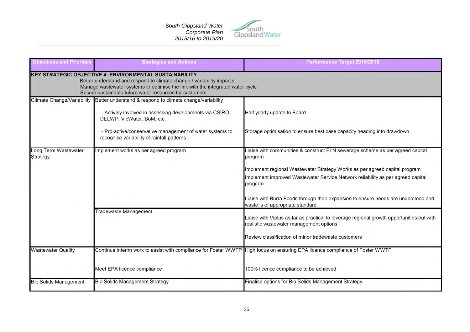

| <b>Objectives and Priorities</b> | <b>Strategies and Actions</b>                                                                                                                                                                                                                                                            | Performance Target 2015/2016                                                                                                                                                                                                                                                                                                                                                                   |  |  |  |
|----------------------------------|------------------------------------------------------------------------------------------------------------------------------------------------------------------------------------------------------------------------------------------------------------------------------------------|------------------------------------------------------------------------------------------------------------------------------------------------------------------------------------------------------------------------------------------------------------------------------------------------------------------------------------------------------------------------------------------------|--|--|--|
|                                  | <b>KEY STRATEGIC OBJECTIVE 4: ENVIRONMENTAL SUSTAINABILITY</b><br>. Better understand and respond to climate change / variability impacts<br>Manage wastewater systems to optimise the link with the integrated water cycle<br>. Secure sustainable future water resources for customers |                                                                                                                                                                                                                                                                                                                                                                                                |  |  |  |
|                                  | Climate Change/Variability Better understand & respond to climate change/variability<br>- Actively involved in assessing developments via CSIRO,<br>DELWP, VicWater, BoM, etc.<br>- Pro-active/conservative management of water systems to<br>recognise variability of rainfall patterns | Half yearly update to Board<br>Storage optimisation to ensure best case capacity heading into drawdown                                                                                                                                                                                                                                                                                         |  |  |  |
| Long Term Wastewater<br>Strategy | Implement works as per agreed program                                                                                                                                                                                                                                                    | Liaise with communities & construct PLN sewerage scheme as per agreed capital<br>program<br>Implement regional Wastewater Strategy Works as per agreed capital program<br>Implement improved Wastewater Service Network reliability as per agreed capital<br>program<br>Liaise with Burra Foods through their expansion to ensure needs are understood and<br>waste is of appropriate standard |  |  |  |
|                                  | <b>Tradewaste Management</b>                                                                                                                                                                                                                                                             | Liaise with Viplus as far as practical to leverage regional growth opportunities but with<br>realistic wastewater management options<br>Review classification of minor tradewaste customers                                                                                                                                                                                                    |  |  |  |
| <b>Wastewater Quality</b>        | Meet EPA licence compliance                                                                                                                                                                                                                                                              | Continue interim work to assist with compliance for Foster WWTP High focus on ensuring EPA licence compliance of Foster WWTP<br>100% licence compliance to be achieved                                                                                                                                                                                                                         |  |  |  |
| <b>Bio Solids Management</b>     | <b>Bio Solids Management Strategy</b>                                                                                                                                                                                                                                                    | Finalise options for Bio Solids Management Strategy                                                                                                                                                                                                                                                                                                                                            |  |  |  |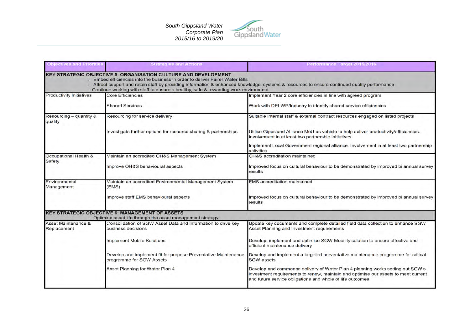

| <b>Objectives and Priorities</b>           | <b>Strategies and Actions</b>                                                                                                                                                                                                               | Performance Target 2015/2016                                                                                                                                                                                                      |  |  |  |  |
|--------------------------------------------|---------------------------------------------------------------------------------------------------------------------------------------------------------------------------------------------------------------------------------------------|-----------------------------------------------------------------------------------------------------------------------------------------------------------------------------------------------------------------------------------|--|--|--|--|
|                                            | <b>KEY STRATEGIC OBJECTIVE 5: ORGANISATION CULTURE AND DEVELOPMENT</b><br>Embed efficiencies into the business in order to deliver Fairer Water Bills<br>Continue working with staff to ensure a healthy, safe & rewarding work environment | Attract support and retain staff by providing information & enhanced knowledge, systems & resources to ensure continued quality performance                                                                                       |  |  |  |  |
| <b>Productivity Initiatives</b>            | <b>Core Efficiencies</b>                                                                                                                                                                                                                    | Implement Year 2 core efficiencies in line with agreed program                                                                                                                                                                    |  |  |  |  |
|                                            | <b>Shared Services</b>                                                                                                                                                                                                                      | Work with DELWP/Industry to identify shared service efficiencies                                                                                                                                                                  |  |  |  |  |
| Resourcing - quantity &<br>quality         | Resourcing for service delivery                                                                                                                                                                                                             | Suitable internal staff & external contract resources engaged on listed projects                                                                                                                                                  |  |  |  |  |
|                                            | Investigate further options for resource sharing & partnerships                                                                                                                                                                             | Utilise Gippsland Alliance MoU as vehicle to help deliver productivity/efficiencies.<br>Involvement in at least two partnership initiatives                                                                                       |  |  |  |  |
|                                            |                                                                                                                                                                                                                                             | Implement Local Government regional alliance. Involvement in at least two partnership<br>activities                                                                                                                               |  |  |  |  |
| Occupational Health &                      | Maintain an accredited OH&S Management System                                                                                                                                                                                               | OH&S accreditation maintained                                                                                                                                                                                                     |  |  |  |  |
| Safety<br>Improve OH&S behavioural aspects |                                                                                                                                                                                                                                             | Improved focus on cultural behaviour to be demonstrated by improved bi annual survey<br>results                                                                                                                                   |  |  |  |  |
| Environmental<br>Management                | Maintain an accredited Environmental Management System<br>(EMS)                                                                                                                                                                             | <b>EMS</b> accreditation maintained                                                                                                                                                                                               |  |  |  |  |
|                                            | Improve staff EMS behavioural aspects                                                                                                                                                                                                       | Improved focus on cultural behaviour to be demonstrated by improved bi annual survey<br>results                                                                                                                                   |  |  |  |  |
|                                            | <b>KEY STRATEGIC OBJECTIVE 6: MANAGEMENT OF ASSETS</b><br>Optimise asset life through the asset management strategy                                                                                                                         |                                                                                                                                                                                                                                   |  |  |  |  |
| Asset Maintenance &<br>Replacement         | Consolidation of SGW Asset Data and Information to drive key<br>business decisions                                                                                                                                                          | Update key documents and complete detailed field data collection to enhance SGW<br>Asset Planning and Investment requirements                                                                                                     |  |  |  |  |
|                                            | Implement Mobile Solutions                                                                                                                                                                                                                  | Develop, implement and optimise SGW Mobility solution to ensure effective and<br>efficient maintenance delivery                                                                                                                   |  |  |  |  |
|                                            | Develop and implement fit for purpose Preventative Maintenance<br>programme for SGW Assets                                                                                                                                                  | Develop and implement a targeted preventative maintenance programme for critical<br><b>SGW</b> assets                                                                                                                             |  |  |  |  |
|                                            | Asset Planning for Water Plan 4                                                                                                                                                                                                             | Develop and commence delivery of Water Plan 4 planning works setting out SGW's<br>investment requirements to renew, maintain and optimise our assets to meet current<br>and future service obligations and whole of life outcomes |  |  |  |  |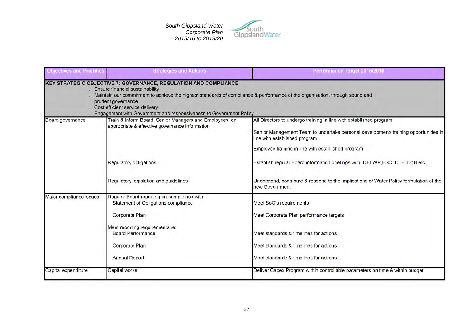

| <b>Objectives and Priorities</b> | <b>Strategies and Actions</b>                                                                                                                                                                                                                                                                                                                                            | Performance Target 2015/2016                                                                                                                                                                                                                     |
|----------------------------------|--------------------------------------------------------------------------------------------------------------------------------------------------------------------------------------------------------------------------------------------------------------------------------------------------------------------------------------------------------------------------|--------------------------------------------------------------------------------------------------------------------------------------------------------------------------------------------------------------------------------------------------|
|                                  | <b>KEY STRATEGIC OBJECTIVE 7: GOVERNANCE, REGULATION AND COMPLIANCE</b><br>Ensure financial sustainability<br>Maintain our commitment to achieve the highest standards of compliance & performance of the organisation, through sound and<br>prudent governance<br>Cost efficient service delivery<br>Engagement with Government and responsiveness to Government Policy |                                                                                                                                                                                                                                                  |
| Board governance                 | Train & inform Board, Senior Managers and Employees on<br>appropriate & effective governance information                                                                                                                                                                                                                                                                 | All Directors to undergo training in line with established program<br>Senior Management Team to undertake personal development/ training opportunities in<br>line with established program<br>Employee training in line with established program |
|                                  | Regulatory obligations                                                                                                                                                                                                                                                                                                                                                   | Establish regular Board information briefings with DELWP,ESC, DTF, DoH etc                                                                                                                                                                       |
|                                  | Regulatory legislation and guidelines                                                                                                                                                                                                                                                                                                                                    | Understand, contribute & respond to the implications of Water Policy formulation of the<br>new Government                                                                                                                                        |
| Major compliance issues          | Regular Board reporting on compliance with:<br>Statement of Obligations compliance<br>Corporate Plan                                                                                                                                                                                                                                                                     | Meet SoO's requirements<br>Meet Corporate Plan performance targets                                                                                                                                                                               |
|                                  | Meet reporting requirements re:<br><b>Board Performance</b>                                                                                                                                                                                                                                                                                                              | Meet standards & timelines for actions                                                                                                                                                                                                           |
|                                  | Corporate Plan<br>Annual Report                                                                                                                                                                                                                                                                                                                                          | Meet standards & timelines for actions<br>Meet standards & timelines for actions                                                                                                                                                                 |
| Capital expenditure              | Capital works                                                                                                                                                                                                                                                                                                                                                            | Deliver Capex Program within controllable parameters on time & within budget                                                                                                                                                                     |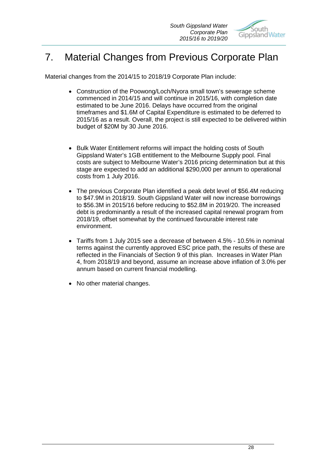

# 7. Material Changes from Previous Corporate Plan

Material changes from the 2014/15 to 2018/19 Corporate Plan include:

- Construction of the Poowong/Loch/Nyora small town's sewerage scheme commenced in 2014/15 and will continue in 2015/16, with completion date estimated to be June 2016. Delays have occurred from the original timeframes and \$1.6M of Capital Expenditure is estimated to be deferred to 2015/16 as a result. Overall, the project is still expected to be delivered within budget of \$20M by 30 June 2016.
- Bulk Water Entitlement reforms will impact the holding costs of South Gippsland Water's 1GB entitlement to the Melbourne Supply pool. Final costs are subject to Melbourne Water's 2016 pricing determination but at this stage are expected to add an additional \$290,000 per annum to operational costs from 1 July 2016.
- The previous Corporate Plan identified a peak debt level of \$56.4M reducing to \$47.9M in 2018/19. South Gippsland Water will now increase borrowings to \$56.3M in 2015/16 before reducing to \$52.8M in 2019/20. The increased debt is predominantly a result of the increased capital renewal program from 2018/19, offset somewhat by the continued favourable interest rate environment.
- Tariffs from 1 July 2015 see a decrease of between 4.5% 10.5% in nominal terms against the currently approved ESC price path, the results of these are reflected in the Financials of Section 9 of this plan. Increases in Water Plan 4, from 2018/19 and beyond, assume an increase above inflation of 3.0% per annum based on current financial modelling.
- No other material changes.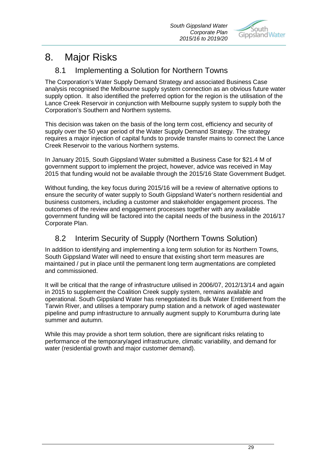

# 8. Major Risks

# 8.1 Implementing a Solution for Northern Towns

The Corporation's Water Supply Demand Strategy and associated Business Case analysis recognised the Melbourne supply system connection as an obvious future water supply option. It also identified the preferred option for the region is the utilisation of the Lance Creek Reservoir in conjunction with Melbourne supply system to supply both the Corporation's Southern and Northern systems.

This decision was taken on the basis of the long term cost, efficiency and security of supply over the 50 year period of the Water Supply Demand Strategy. The strategy requires a major injection of capital funds to provide transfer mains to connect the Lance Creek Reservoir to the various Northern systems.

In January 2015, South Gippsland Water submitted a Business Case for \$21.4 M of government support to implement the project, however, advice was received in May 2015 that funding would not be available through the 2015/16 State Government Budget.

Without funding, the key focus during 2015/16 will be a review of alternative options to ensure the security of water supply to South Gippsland Water's northern residential and business customers, including a customer and stakeholder engagement process. The outcomes of the review and engagement processes together with any available government funding will be factored into the capital needs of the business in the 2016/17 Corporate Plan.

# 8.2 Interim Security of Supply (Northern Towns Solution)

In addition to identifying and implementing a long term solution for its Northern Towns, South Gippsland Water will need to ensure that existing short term measures are maintained / put in place until the permanent long term augmentations are completed and commissioned.

It will be critical that the range of infrastructure utilised in 2006/07, 2012/13/14 and again in 2015 to supplement the Coalition Creek supply system, remains available and operational. South Gippsland Water has renegotiated its Bulk Water Entitlement from the Tarwin River, and utilises a temporary pump station and a network of aged wastewater pipeline and pump infrastructure to annually augment supply to Korumburra during late summer and autumn.

While this may provide a short term solution, there are significant risks relating to performance of the temporary/aged infrastructure, climatic variability, and demand for water (residential growth and major customer demand).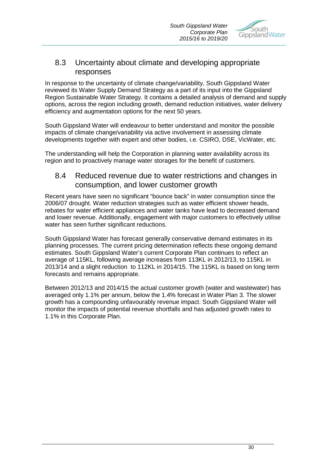

### 8.3 Uncertainty about climate and developing appropriate responses

In response to the uncertainty of climate change/variability, South Gippsland Water reviewed its Water Supply Demand Strategy as a part of its input into the Gippsland Region Sustainable Water Strategy. It contains a detailed analysis of demand and supply options, across the region including growth, demand reduction initiatives, water delivery efficiency and augmentation options for the next 50 years.

South Gippsland Water will endeavour to better understand and monitor the possible impacts of climate change/variability via active involvement in assessing climate developments together with expert and other bodies, i.e. CSIRO, DSE, VicWater, etc.

The understanding will help the Corporation in planning water availability across its region and to proactively manage water storages for the benefit of customers.

### 8.4 Reduced revenue due to water restrictions and changes in consumption, and lower customer growth

Recent years have seen no significant "bounce back" in water consumption since the 2006/07 drought. Water reduction strategies such as water efficient shower heads, rebates for water efficient appliances and water tanks have lead to decreased demand and lower revenue. Additionally, engagement with major customers to effectively utilise water has seen further significant reductions.

South Gippsland Water has forecast generally conservative demand estimates in its planning processes. The current pricing determination reflects these ongoing demand estimates. South Gippsland Water's current Corporate Plan continues to reflect an average of 115KL, following average increases from 113KL in 2012/13, to 115KL in 2013/14 and a slight reduction to 112KL in 2014/15. The 115KL is based on long term forecasts and remains appropriate.

Between 2012/13 and 2014/15 the actual customer growth (water and wastewater) has averaged only 1.1% per annum, below the 1.4% forecast in Water Plan 3. The slower growth has a compounding unfavourably revenue impact. South Gippsland Water will monitor the impacts of potential revenue shortfalls and has adjusted growth rates to 1.1% in this Corporate Plan.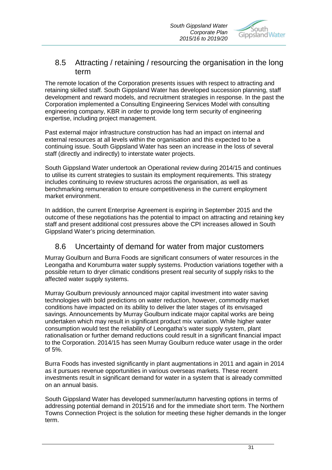

### 8.5 Attracting / retaining / resourcing the organisation in the long term

The remote location of the Corporation presents issues with respect to attracting and retaining skilled staff. South Gippsland Water has developed succession planning, staff development and reward models, and recruitment strategies in response. In the past the Corporation implemented a Consulting Engineering Services Model with consulting engineering company, KBR in order to provide long term security of engineering expertise, including project management.

Past external major infrastructure construction has had an impact on internal and external resources at all levels within the organisation and this expected to be a continuing issue. South Gippsland Water has seen an increase in the loss of several staff (directly and indirectly) to interstate water projects.

South Gippsland Water undertook an Operational review during 2014/15 and continues to utilise its current strategies to sustain its employment requirements. This strategy includes continuing to review structures across the organisation, as well as benchmarking remuneration to ensure competitiveness in the current employment market environment.

In addition, the current Enterprise Agreement is expiring in September 2015 and the outcome of these negotiations has the potential to impact on attracting and retaining key staff and present additional cost pressures above the CPI increases allowed in South Gippsland Water's pricing determination.

# 8.6 Uncertainty of demand for water from major customers

Murray Goulburn and Burra Foods are significant consumers of water resources in the Leongatha and Korumburra water supply systems. Production variations together with a possible return to dryer climatic conditions present real security of supply risks to the affected water supply systems.

Murray Goulburn previously announced major capital investment into water saving technologies with bold predictions on water reduction, however, commodity market conditions have impacted on its ability to deliver the later stages of its envisaged savings. Announcements by Murray Goulburn indicate major capital works are being undertaken which may result in significant product mix variation. While higher water consumption would test the reliability of Leongatha's water supply system, plant rationalisation or further demand reductions could result in a significant financial impact to the Corporation. 2014/15 has seen Murray Goulburn reduce water usage in the order of 5%.

Burra Foods has invested significantly in plant augmentations in 2011 and again in 2014 as it pursues revenue opportunities in various overseas markets. These recent investments result in significant demand for water in a system that is already committed on an annual basis.

South Gippsland Water has developed summer/autumn harvesting options in terms of addressing potential demand in 2015/16 and for the immediate short term. The Northern Towns Connection Project is the solution for meeting these higher demands in the longer term.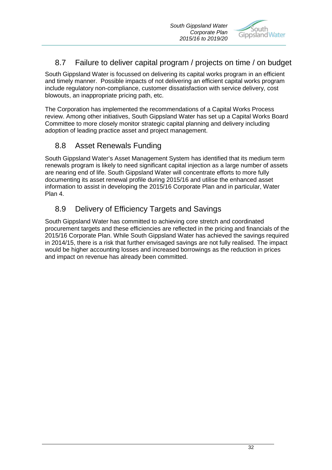

# 8.7 Failure to deliver capital program / projects on time / on budget

South Gippsland Water is focussed on delivering its capital works program in an efficient and timely manner. Possible impacts of not delivering an efficient capital works program include regulatory non-compliance, customer dissatisfaction with service delivery, cost blowouts, an inappropriate pricing path, etc.

The Corporation has implemented the recommendations of a Capital Works Process review. Among other initiatives, South Gippsland Water has set up a Capital Works Board Committee to more closely monitor strategic capital planning and delivery including adoption of leading practice asset and project management.

# 8.8 Asset Renewals Funding

South Gippsland Water's Asset Management System has identified that its medium term renewals program is likely to need significant capital injection as a large number of assets are nearing end of life. South Gippsland Water will concentrate efforts to more fully documenting its asset renewal profile during 2015/16 and utilise the enhanced asset information to assist in developing the 2015/16 Corporate Plan and in particular, Water Plan 4.

# 8.9 Delivery of Efficiency Targets and Savings

South Gippsland Water has committed to achieving core stretch and coordinated procurement targets and these efficiencies are reflected in the pricing and financials of the 2015/16 Corporate Plan. While South Gippsland Water has achieved the savings required in 2014/15, there is a risk that further envisaged savings are not fully realised. The impact would be higher accounting losses and increased borrowings as the reduction in prices and impact on revenue has already been committed.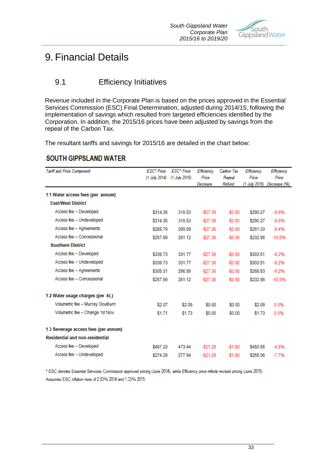

# 9. Financial Details

# 9.1 Efficiency Initiatives

Revenue included in the Corporate Plan is based on the prices approved in the Essential Services Commission (ESC) Final Determination, adjusted during 2014/15, following the implementation of savings which resulted from targeted efficiencies identified by the Corporation. In addition, the 2015/16 prices have been adjusted by savings from the repeal of the Carbon Tax.

The resultant tariffs and savings for 2015/16 are detailed in the chart below:

# **SOUTH GIPPSLAND WATER**

| Tariff and Price Component             | ESC* Price      | ESC* Price    | Efficiency  | Carbon Tax | Efficiency    | Efficiency   |
|----------------------------------------|-----------------|---------------|-------------|------------|---------------|--------------|
|                                        | $(1$ July 2014) | (1 July 2015) | Price       | Repeal     | Price         | Price        |
|                                        |                 |               | Decrease    | Refund     | (1 July 2015) | Decrease (%) |
| 1.1 Water access fees (per annum)      |                 |               |             |            |               |              |
| <b>East/West District</b>              |                 |               |             |            |               |              |
| Access fee - Developed                 | \$314.35        | 318.53        | $-$27.36$   | $-$0.90$   | \$290.27      | $-8.6%$      |
| Access fee - Undeveloped               | \$314.35        | 318.53        | $-$27.36$   | $-$0.90$   | \$290.27      | $-8.6%$      |
| Access fee - Agreements                | \$285.79        | 289.59        | $-$27.36$   | $-$0.90$   | \$261.33      | $-9.4%$      |
| Access fee - Concessional              | \$257.69        | 261.12        | $-$27.36$   | $-$0.90$   | \$232.86      | $-10.5%$     |
| <b>Southern District</b>               |                 |               |             |            |               |              |
| Access fee - Developed                 | \$339.73        | 331.77        | $-$27.36$   | $-$0.90$   | \$303.51      | $-8.2%$      |
| Access fee - Undeveloped               | \$339.73        | 331.77        | $-$27.36$   | $-$0.90$   | \$303.51      | $-8.2%$      |
| Access fee - Agreements                | \$305.31        | 296.89        | $-$27.36$   | $-$0.90$   | \$268.63      | $-9.2%$      |
| Access fee - Concessional              | \$257.69        | 261.12        | $-$27.36$   | $-$0.90$   | \$232.86      | $-10.5%$     |
| 1.2 Water usage charges (per kL)       |                 |               |             |            |               |              |
| Volumetric fee - Murray Goulburn       | \$2.07          | \$2.09        | \$0.00      | \$0.00     | \$2.09        | 0.0%         |
| Volumetric fee - Change 1st Nov.       | \$1.71          | \$1.73        | \$0.00      | \$0.00     | \$1.73        | 0.0%         |
| 1.3 Sewerage access fees (per annum)   |                 |               |             |            |               |              |
| <b>Residential and non-residential</b> |                 |               |             |            |               |              |
| Access fee - Developed                 | \$467.23        | 473.44        | $-$ \$21.28 | $-$1.60$   | \$450.56      | $-4.5%$      |
| Access fee - Undeveloped               | \$274.29        | 277.94        | $-$21.28$   | $-$1.60$   | \$255.06      | $-7.7%$      |

\* ESC denotes Essential Services Commission approved pricing (June 2014), while Efficiency price refects revised pricing (June 2015) Assumes ESC inflation rises of 2.93% 2014 and 1.33% 2015.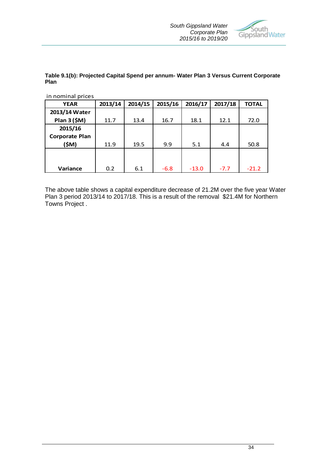

### **Table 9.1(b): Projected Capital Spend per annum- Water Plan 3 Versus Current Corporate Plan**

in nominal prices

| <b>YEAR</b>           | 2013/14 | 2014/15 | 2015/16 | 2016/17 | 2017/18 | <b>TOTAL</b> |
|-----------------------|---------|---------|---------|---------|---------|--------------|
| 2013/14 Water         |         |         |         |         |         |              |
| Plan 3 (\$M)          | 11.7    | 13.4    | 16.7    | 18.1    | 12.1    | 72.0         |
| 2015/16               |         |         |         |         |         |              |
| <b>Corporate Plan</b> |         |         |         |         |         |              |
| (\$M)                 | 11.9    | 19.5    | 9.9     | 5.1     | 4.4     | 50.8         |
|                       |         |         |         |         |         |              |
|                       |         |         |         |         |         |              |
| Variance              | 0.2     | 6.1     | $-6.8$  | $-13.0$ | $-7.7$  | $-21.2$      |

The above table shows a capital expenditure decrease of 21.2M over the five year Water Plan 3 period 2013/14 to 2017/18. This is a result of the removal \$21.4M for Northern Towns Project .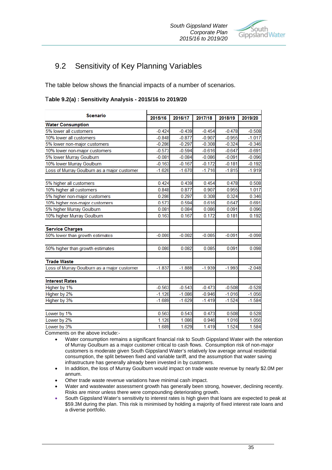

# 9.2 Sensitivity of Key Planning Variables

The table below shows the financial impacts of a number of scenarios.

| Table 9.2(a) : Sensitivity Analysis - 2015/16 to 2019/20 |  |  |
|----------------------------------------------------------|--|--|
|                                                          |  |  |

| <b>Scenario</b>                             |          |          |          |          |          |
|---------------------------------------------|----------|----------|----------|----------|----------|
|                                             | 2015/16  | 2016/17  | 2017/18  | 2018/19  | 2019/20  |
| <b>Water Consumption</b>                    |          |          |          |          |          |
| 5% lower all customers                      | $-0.424$ | $-0.439$ | $-0.454$ | $-0.478$ | $-0.508$ |
| 10% lower all customers                     | $-0.848$ | $-0.877$ | $-0.907$ | $-0.955$ | $-1.017$ |
| 5% lower non-major customers                | $-0.286$ | $-0.297$ | $-0.308$ | $-0.324$ | $-0.346$ |
| 10% lower non-major customers               | $-0.573$ | $-0.594$ | $-0.616$ | $-0.647$ | $-0.691$ |
| 5% lower Murray Goulburn                    | $-0.081$ | $-0.084$ | $-0.086$ | $-0.091$ | $-0.096$ |
| 10% lower Murray Goulburn                   | $-0.163$ | $-0.167$ | $-0.172$ | $-0.181$ | $-0.192$ |
| Loss of Murray Goulburn as a major customer | $-1.626$ | $-1.670$ | $-1.716$ | $-1.815$ | $-1.919$ |
| 5% higher all customers                     | 0.424    | 0.439    | 0.454    | 0.478    | 0.508    |
| 10% higher all customers                    | 0.848    | 0.877    | 0.907    | 0.955    | 1.017    |
| 5% higher non-major customers               | 0.286    | 0.297    | 0.308    | 0.324    | 0.346    |
| 10% higher non-major customers              | 0.573    | 0.594    | 0.616    | 0.647    | 0.691    |
| 5% higher Murray Goulburn                   | 0.081    | 0.084    | 0.086    | 0.091    | 0.096    |
| 10% higher Murray Goulburn                  | 0.163    | 0.167    | 0.172    | 0.181    | 0.192    |
| <b>Service Charges</b>                      |          |          |          |          |          |
| 50% lower than growth estimates             | $-0.080$ | $-0.082$ | $-0.085$ | $-0.091$ | $-0.098$ |
| 50% higher than growth estimates            | 0.080    | 0.082    | 0.085    | 0.091    | 0.098    |
| <b>Trade Waste</b>                          |          |          |          |          |          |
| Loss of Murray Goulburn as a major customer | $-1.837$ | $-1.888$ | $-1.939$ | $-1.993$ | $-2.048$ |
| <b>Interest Rates</b>                       |          |          |          |          |          |
| Higher by 1%                                | $-0.563$ | $-0.543$ | $-0.473$ | $-0.508$ | $-0.528$ |
| Higher by 2%                                | $-1.126$ | $-1.086$ | $-0.946$ | $-1.016$ | $-1.056$ |
| Higher by 3%                                | $-1.689$ | $-1.629$ | $-1.419$ | $-1.524$ | $-1.584$ |
| Lower by 1%                                 | 0.563    | 0.543    | 0.473    | 0.508    | 0.528    |
| Lower by 2%                                 | 1.126    | 1.086    | 0.946    | 1.016    | 1.056    |
| Lower by 3%                                 | 1.689    | 1.629    | 1.419    | 1.524    | 1.584    |

Comments on the above include:-

- Water consumption remains a significant financial risk to South Gippsland Water with the retention of Murray Goulburn as a major customer critical to cash flows. Consumption risk of non-major customers is moderate given South Gippsland Water's relatively low average annual residential consumption, the split between fixed and variable tariff, and the assumption that water saving infrastructure has generally already been invested in by customers.
- In addition, the loss of Murray Goulburn would impact on trade waste revenue by nearly \$2.0M per annum.
- Other trade waste revenue variations have minimal cash impact.
- Water and wastewater assessment growth has generally been strong, however, declining recently. Risks are minor unless there were compounding deteriorating growth.
- South Gippsland Water's sensitivity to interest rates is high given that loans are expected to peak at \$59.3M during the plan. This risk is minimised by holding a majority of fixed interest rate loans and a diverse portfolio.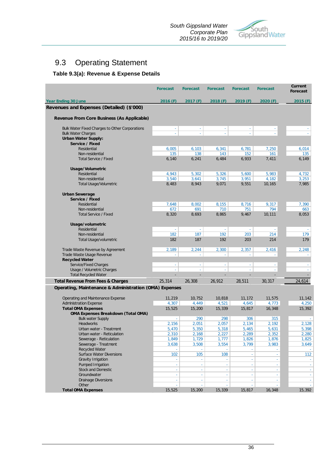

# 9.3 Operating Statement

### **Table 9.3(a): Revenue & Expense Details**

|                                                           | <b>Forecast</b>     | <b>Forecast</b> | <b>Forecast</b> | <b>Forecast</b> | <b>Forecast</b>             | <b>Current</b><br><b>Forecast</b> |
|-----------------------------------------------------------|---------------------|-----------------|-----------------|-----------------|-----------------------------|-----------------------------------|
| <b>Year Ending 30 June</b>                                | 2016 (F)            | 2017 (F)        | 2018(F)         | 2019(F)         | 2020 (F)                    | 2015(F)                           |
| Revenues and Expenses (Detailed) (\$'000)                 |                     |                 |                 |                 |                             |                                   |
| Revenue From Core Business (As Applicable)                |                     |                 |                 |                 |                             |                                   |
| Bulk Water Fixed Charges to Other Corporations            | $\Box$              | ä,              | ÷.              | ÷.              |                             |                                   |
| <b>Bulk Water Charges</b>                                 |                     |                 |                 |                 |                             |                                   |
| <b>Urban Water Supply:</b>                                |                     |                 |                 |                 |                             |                                   |
| Service / Fixed<br>Residential                            | 6,005               | 6,103           | 6,341           | 6,781           | 7,250                       | 6,014                             |
| Non-residential                                           | 135                 | 138             | 143             | 152             | 161                         | 135                               |
| <b>Total Service / Fixed</b>                              | 6,140               | 6,241           | 6,484           | 6,933           | 7,411                       | 6,149                             |
| Usage/Volumetric                                          |                     |                 |                 |                 |                             |                                   |
| Residential<br>Non-residential                            | 4,943<br>3,540      | 5,302<br>3,641  | 5,326<br>3,745  | 5,600<br>3,951  | 5,983<br>4,182              | 4,732<br>3,253                    |
| Total Usage/Volumetric                                    | 8,483               | 8,943           | 9,071           | 9,551           | 10,165                      | 7,985                             |
| <b>Urban Sewerage</b>                                     |                     |                 |                 |                 |                             |                                   |
| Service / Fixed                                           |                     |                 |                 |                 |                             |                                   |
| Residential                                               | 7,648               | 8,002           | 8,155           | 8,716           | 9,317                       | 7,390                             |
| Non-residential                                           | 672                 | 691             | 710             | 751             | 794                         | 663                               |
| <b>Total Service / Fixed</b>                              | 8,320               | 8,693           | 8,865           | 9,467           | 10,111                      | 8,053                             |
| Usage/volumetric<br>Residential                           | $\Box$              | ä,              | $\omega$        | $\sim$          | $\sim$                      |                                   |
| Non-residential                                           | 182                 | 187             | 192             | 203             | 214                         | 179                               |
| Total Usage/volumetric                                    | 182                 | 187             | 192             | 203             | 214                         | 179                               |
| Trade Waste Revenue by Agreement                          | 2,189               | 2,244           | 2,300           | 2,357           | 2,416                       | 2,248                             |
| Trade Waste Usage Revenue                                 |                     |                 |                 |                 |                             |                                   |
| <b>Recycled Water</b>                                     |                     |                 |                 |                 |                             |                                   |
| Service/Fixed Charges                                     | $\bar{\phantom{a}}$ | ä,              | $\blacksquare$  | $\blacksquare$  |                             |                                   |
| Usage / Volumetric Charges<br><b>Total Recycled Water</b> | ÷.                  | L,              | ÷.              | ÷.              | ä,                          | $\omega$                          |
| <b>Total Revenue From Fees &amp; Charges</b>              | 25,314              | 26,308          | 26,912          | 28,511          | 30,317                      | 24,614                            |
| Operating, Maintenance & Administration (OMA) Expenses    |                     |                 |                 |                 |                             |                                   |
| Operating and Maintenance Expense                         | 11,219              | 10,752          | 10,818          | 11,172          | 11,575                      | 11,142                            |
| <b>Administration Expense</b>                             | 4,307               | 4,449           | 4,521           | 4,645           | 4,773                       | 4,250                             |
| <b>Total OMA Expenses</b>                                 | 15,525              | 15,200          | 15,339          | 15,817          | 16,348                      | 15,392                            |
| <b>OMA Expenses Breakdown (Total OMA)</b>                 |                     |                 |                 |                 |                             |                                   |
| <b>Bulk water Supply</b>                                  | $\omega$            | 290             | 298             | 306             | 315                         | $\sim$                            |
| Headworks                                                 | 2,156               | 2,051           | 2,057           | 2,134           | 2,192                       | 2,128                             |
| Urban water - Treatment<br>Urban water - Reticulation     | 5,470               | 5,350           | 5,318           | 5,465           | 5,631                       | 5,398                             |
| Sewerage - Reticulation                                   | 2,310<br>1,849      | 2,168<br>1,729  | 2,227<br>1,777  | 2,289<br>1,826  | 2,352<br>1,876              | 2,280<br>1,825                    |
| Sewerage - Treatment                                      | 3,638               | 3,508           | 3,554           | 3,799           | 3,983                       | 3,649                             |
| Recycled Water                                            |                     |                 |                 |                 |                             | $\sim 100$                        |
| <b>Surface Water Diversions</b>                           | 102                 | 105             | 108             | ÷.              | ÷.                          | 112                               |
| Gravity Irrigation                                        |                     |                 |                 |                 |                             |                                   |
| Pumped Irrigation                                         | ÷,                  | ÷.              | à.              |                 | $\mathcal{L}_{\mathcal{A}}$ | $\sim$                            |
| <b>Stock and Domestic</b><br>Groundwater                  | ×,<br>÷,            |                 | ÷,<br>ä,        | ÷.              | ÷.<br>÷.                    | $\sim$                            |
| <b>Drainage Diversions</b>                                | $\bar{\phantom{a}}$ | $\blacksquare$  | ÷               | ÷               | $\sim$                      | $\sim$                            |
| Other                                                     |                     |                 |                 |                 |                             |                                   |
| <b>Total OMA Expenses</b>                                 | 15,525              | 15,200          | 15,339          | 15,817          | 16,348                      | 15,392                            |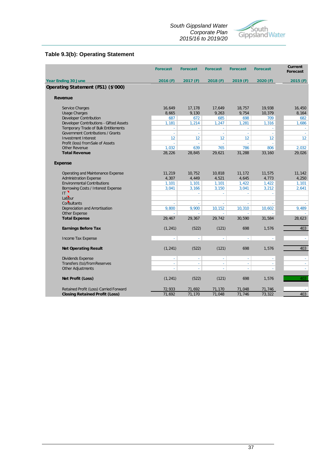### *South Gippsland Water Corporate Plan 2015/16 to 2019/20*



### **Table 9.3(b): Operating Statement**

|                                         | <b>Forecast</b> | <b>Forecast</b> | <b>Forecast</b> | <b>Forecast</b> | <b>Forecast</b> | Current<br><b>Forecast</b> |
|-----------------------------------------|-----------------|-----------------|-----------------|-----------------|-----------------|----------------------------|
| <b>Year Ending 30 June</b>              | 2016(F)         | 2017(F)         | 2018(F)         | 2019(F)         | 2020(F)         | 2015(F)                    |
| Operating Statement (FS1) (\$'000)      |                 |                 |                 |                 |                 |                            |
| Revenue                                 |                 |                 |                 |                 |                 |                            |
| Service Charges                         | 16,649          | 17,178          | 17,649          | 18,757          | 19,938          | 16,450                     |
| <b>Usage Charges</b>                    | 8,665           | 9,130           | 9,263           | 9,754           | 10,379          | 8,164                      |
| <b>Developer Contribution</b>           | 687             | 672             | 685             | 698             | 709             | 682                        |
| Developer Contributions - Gifted Assets | 1,181           | 1,214           | 1,247           | 1,281           | 1,316           | 1,686                      |
| Temporary Trade of Bulk Entitlements    | ä,              | L.              | ÷.              | ä,              | ÷.              | $\sim$                     |
| Government Contributions / Grants       | ÷               | $\sim$          | $\sim$          | $\sim$          | ÷.              |                            |
| Investment Interest                     | 12              | 12              | 12              | 12              | 12 <sup>°</sup> | 12 <sup>°</sup>            |
| Profit (loss) from Sale of Assets       |                 | i.              |                 |                 |                 |                            |
| <b>Other Revenue</b>                    | 1,032           | 639             | 765             | 786             | 806             | 2,032                      |
| <b>Total Revenue</b>                    | 28,226          | 28,845          | 29,621          | 31,288          | 33,160          | 29,026                     |
| <b>Expense</b>                          |                 |                 |                 |                 |                 |                            |
| Operating and Maintenance Expense       | 11,219          | 10,752          | 10,818          | 11,172          | 11,575          | 11,142                     |
| <b>Administration Expense</b>           | 4,307           | 4,449           | 4,521           | 4,645           | 4,773           | 4,250                      |
| <b>Environmental Contributions</b>      | 1,101           | 1,101           | 1,101           | 1,422           | 1,422           | 1,101                      |
| Borrowing Costs / Interest Expense      | 3,041           | 3,166           | 3,150           | 3,041           | 3,212           | 2,641                      |
| IT.                                     |                 | ÷.              | ÷.              | ÷.              | ÷.              |                            |
| Labour                                  |                 |                 |                 |                 |                 |                            |
| Consultants                             |                 |                 |                 |                 |                 |                            |
| Depreciation and Amortisation           | 9,800           | 9,900           | 10,152          | 10,310          | 10,602          | 9,489                      |
| Other Expense                           | ÷               | ÷               | ÷               | ÷               |                 |                            |
| <b>Total Expense</b>                    | 29,467          | 29,367          | 29,742          | 30,590          | 31,584          | 28,623                     |
| <b>Earnings Before Tax</b>              | (1, 241)        | (522)           | (121)           | 698             | 1,576           | 403                        |
| Income Tax Expense                      | ÷.              | ÷.              | ÷.              | ä,              | ÷.              | $\sim$                     |
| <b>Net Operating Result</b>             | (1, 241)        | (522)           | (121)           | 698             | 1,576           | 403                        |
| <b>Dividends Expense</b>                | $\Box$          | ä,              | ÷.              | ä,              | $\omega$        | ÷                          |
| Transfers (to)/from Reserves            | ÷.              | ÷,              | ÷.              | ÷,              | ÷.              |                            |
| Other Adjustments                       |                 |                 |                 |                 |                 | $\bar{\phantom{a}}$        |
| Net Profit (Loss)                       | (1, 241)        | (522)           | (121)           | 698             | 1,576           | 403                        |
| Retained Profit (Loss) Carried Forward  | 72,933          | 71,692          | 71,170          | 71,048          | 71,746          |                            |
| <b>Closing Retained Profit (Loss)</b>   | 71,692          | 71,170          | 71,048          | 71,746          | 73,322          | 403                        |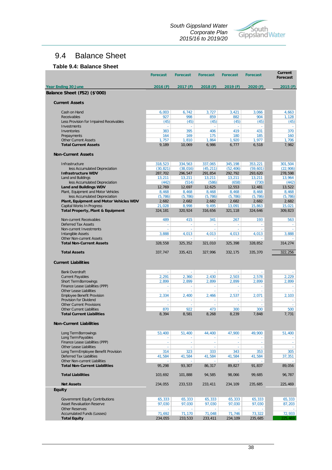*South Gippsland Water Corporate Plan 2015/16 to 2019/20*



# 9.4 Balance Sheet

### **Table 9.4: Balance Sheet**

|                                                                    | <b>Forecast</b> | <b>Forecast</b> | <b>Forecast</b> | <b>Forecast</b> | <b>Forecast</b>  | Current<br><b>Forecast</b> |
|--------------------------------------------------------------------|-----------------|-----------------|-----------------|-----------------|------------------|----------------------------|
| <b>Year Ending 30 June</b>                                         | 2016 (F)        | 2017 (F)        | 2018(F)         | 2019(F)         | 2020 (F)         | 2015(F)                    |
| Balance Sheet (FS2) (\$'000)                                       |                 |                 |                 |                 |                  |                            |
| <b>Current Assets</b>                                              |                 |                 |                 |                 |                  |                            |
| Cash on Hand                                                       | 6,003           | 6,742<br>998    | 3,727           | 3,421           | 3,066            | 4,663                      |
| Receivables<br>Less Provision for Impaired Receivables             | 927<br>(45)     | (45)            | 859<br>(45)     | 882<br>(45)     | 904<br>(45)      | 1,128<br>(45)              |
| Investments                                                        | ä,              | ä,              | ä,              | ä,              | $\omega$         | $\sim$                     |
| Inventories                                                        | 383             | 395             | 406             | 419             | 431              | 370                        |
| Prepayments                                                        | 164             | 169             | 175             | 180             | 185              | 160                        |
| <b>Other Current Assets</b>                                        | 1,757           | 1,810           | 1,864           | 1,920           | 1,977            | 1.706                      |
| <b>Total Current Assets</b>                                        | 9,189           | 10,069          | 6,986           | 6,777           | 6,518            | 7,982                      |
| <b>Non-Current Assets</b>                                          |                 |                 |                 |                 |                  |                            |
| Infrastructure                                                     | 318,523         | 334,563         | 337,065         | 345,198         | 353,221          | 301,504                    |
| less Accumulated Depreciation                                      | (30, 821)       | (38, 016)       | (45, 211)       | (52, 406)       | (59, 601)        | (22, 906)                  |
| <b>Infrastructure WDV</b>                                          | 287,702         | 296,547         | 291,854         | 292,792         | 293,620          | 278,598                    |
| Land and Buildings                                                 | 13,211          | 13,211          | 13,211          | 13,211          | 13,211           | 13,964                     |
| less Accumulated Depreciation<br>Land and Buildings WDV            | (442)<br>12,769 | (514)<br>12,697 | (586)<br>12,625 | (658)<br>12,553 | (730)<br>12,481  | (442)<br>13,522            |
| Plant, Equipment and Motor Vehicles                                | 8,468           | 8,468           | 8,468           | 8,468           | 8,468            | 8,468                      |
| less Accumulated Depreciation                                      | (5, 786)        | (5, 786)        | (5, 786)        | (5, 786)        | (5, 786)         | (5, 786)                   |
| Plant, Equipment and Motor Vehicles WDV                            | 2,682           | 2,682           | 2,682           | 2,682           | 2,682            | 2.682                      |
| Capital Works In Progress                                          | 21,028          | 8,998           | 9,495           | 13,091          | 15,863           | 15,021                     |
| <b>Total Property, Plant &amp; Equipment</b>                       | 324,181         | 320,924         | 316,656         | 321,118         | 324,646          | 309,823                    |
| Non-current Receivables                                            | 489             | 415             | 341             | 267             | 193              | 563                        |
| <b>Deferred Tax Assets</b>                                         | ä,              | $\omega$        | ä,              | $\omega$        | ä,               |                            |
| Non-current Investments                                            | ä,              | $\omega$        | ä,              | $\omega$        | ä,               |                            |
| <b>Intangible Assets</b>                                           | 3,888           | 4,013           | 4,013           | 4,013           | 4,013            | 3,888                      |
| <b>Other Non-current Assets</b><br><b>Total Non-Current Assets</b> | ä,<br>328,558   | 325,352         | 321,010         | 325,398         | 328,852          | 314,274                    |
| <b>Total Assets</b>                                                | 337,747         | 335,421         | 327,996         | 332,175         | 335,370          | 322,256                    |
| <b>Current Liabilities</b>                                         |                 |                 |                 |                 |                  |                            |
| <b>Bank Overdraft</b>                                              | ä,              | ä,              | ä,              | $\omega$        | ä,               |                            |
| <b>Current Payables</b>                                            | 2,291           | 2,360           | 2,430           | 2,503           | 2,578            | 2,229                      |
| <b>Short Term Borrowings</b>                                       | 2,899           | 2,899           | 2,899           | 2,899           | 2,899            | 2,899                      |
| Finance Lease Liabilities (PPP)                                    | à,              | ä,              | ä,              | ä,              | ÷.               |                            |
| Other Lease Liabilities                                            | ä,              | ÷.              | ä,              | ä,              | $\omega$         |                            |
| <b>Employee Benefit Provision</b>                                  | 2,334           | 2,400           | 2,466           | 2,537           | 2,071            | 2,103                      |
| Provision for Dividend                                             | ä,              | ä,              | ä,              | ÷,              | ä,               |                            |
| <b>Other Current Provisions</b><br>Other Current Liabilities       | ä,<br>870       | ä,<br>922       | ä,<br>473       | $\omega$<br>300 | $\omega$<br>300  | 500                        |
| <b>Total Current Liabilities</b>                                   | 8,394           | 8,581           | 8,268           | 8,239           | 7,848            | 7,731                      |
| Non-Current Liabilities                                            |                 |                 |                 |                 |                  |                            |
| Long Term Borrowings                                               | 53,400          | 51,400          | 44,400          | 47,900          | 49,900           | 51,400                     |
| Long Term Payables                                                 | $\omega$        | $\omega$        | $\omega$        | $\omega$        | $\omega$         |                            |
| Finance Lease Liabilities (PPP)                                    | $\omega$        | ÷.              | $\omega$        | ÷,              | ÷.               | $\omega$                   |
| Other Lease Liabilities                                            | ä,              | ä,              | ä,              | ä,              | $\omega$         | ÷.                         |
| Long Term Employee Benefit Provision<br>Deferred Tax Liabilities   | 314<br>41,584   | 323<br>41,584   | 333<br>41,584   | 343<br>41,584   | 353              | 305<br>37,351              |
| Other Non-current Liabilities                                      | $\omega$        | $\sim$          | $\omega$        | $\sim$          | 41,584<br>$\sim$ |                            |
| <b>Total Non-Current Liabilities</b>                               | 95,298          | 93,307          | 86,317          | 89,827          | 91,837           | 89,056                     |
| <b>Total Liabilities</b>                                           | 103,692         | 101,888         | 94,585          | 98,066          | 99,685           | 96,787                     |
| <b>Net Assets</b>                                                  | 234,055         | 233,533         | 233,411         | 234,109         | 235,685          | 225,469                    |
| <b>Equity</b>                                                      |                 |                 |                 |                 |                  |                            |
| Government Equity Contributions                                    | 65,333          | 65,333          | 65,333          | 65,333          | 65,333           | 65,333                     |
| <b>Asset Revaluation Reserve</b>                                   | 97,030          | 97,030          | 97,030          | 97,030          | 97,030           | 87,203                     |
| <b>Other Reserves</b>                                              |                 |                 |                 |                 |                  |                            |
| <b>Accumulated Funds (Losses)</b>                                  | 71,692          | 71,170          | 71,048          | 71,746          | 73,322           | 72,933                     |
| <b>Total Equity</b>                                                | 234,055         | 233,533         | 233,411         | 234,109         | 235,685          | 225.469                    |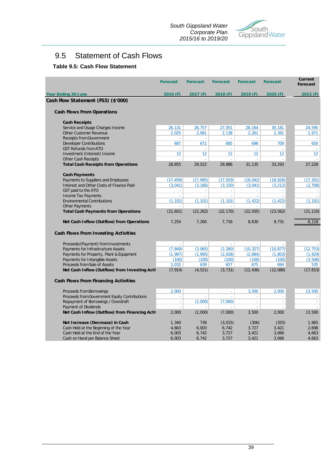

# 9.5 Statement of Cash Flows

### **Table 9.5: Cash Flow Statement**

|                                                                     | <b>Forecast</b> | <b>Forecast</b>     | <b>Forecast</b> | <b>Forecast</b>     | <b>Forecast</b>           | Current<br><b>Forecast</b> |
|---------------------------------------------------------------------|-----------------|---------------------|-----------------|---------------------|---------------------------|----------------------------|
| <b>Year Ending 30 June</b>                                          | $2016$ (F)      | 2017 (F)            | 2018(F)         | 2019(F)             | 2020(F)                   | 2015(F)                    |
| Cash Flow Statement (FS3) (\$'000)                                  |                 |                     |                 |                     |                           |                            |
| <b>Cash Flows From Operations</b>                                   |                 |                     |                 |                     |                           |                            |
| <b>Cash Receipts</b>                                                |                 |                     |                 |                     |                           |                            |
| Service and Usage Charges Income                                    | 26,131          | 26,757              | 27,051          | 28,164              | 30,181                    | 24,595                     |
| Other Customer Revenue                                              | 2,025           | 2,081               | 2,138           | 2,261               | 2,391                     | 1,971                      |
| <b>Receipts from Government</b>                                     |                 |                     | ÷.              | ÷.                  | ÷.                        | $\sim$                     |
| <b>Developer Contributions</b>                                      | 687             | 672                 | 685             | 698                 | 709                       | 650                        |
| <b>GST Refunds from ATO</b>                                         | 12              | 12                  | 12              | 12                  | $\sim$<br>12 <sup>°</sup> | 12 <sup>°</sup>            |
| Investment (Interest) Income<br><b>Other Cash Receipts</b>          |                 |                     | J.              | $\overline{a}$      |                           |                            |
| <b>Total Cash Receipts from Operations</b>                          | 28,855          | 29,522              | 29,886          | 31,135              | 33,293                    | 27,228                     |
| <b>Cash Payments</b>                                                |                 |                     |                 |                     |                           |                            |
| Payments to Suppliers and Employees                                 | (17, 459)       | (17, 995)           | (17, 919)       | (18, 042)           | (18, 928)                 | (17, 301)                  |
| Interest and Other Costs of Finance Paid                            | (3,041)         | (3, 166)            | (3, 150)        | (3,041)             | (3, 212)                  | (2,708)                    |
| GST paid to the ATO                                                 | ÷.              | ×                   | ÷.              | ×.                  | ×                         | $\sim$                     |
| Income Tax Payments                                                 | ä,              | à.                  | à.              | ÷.                  | ÷.                        | a.                         |
| <b>Environmental Contributions</b>                                  | (1, 101)        | (1, 101)            | (1, 101)        | (1, 422)            | (1, 422)                  | (1, 101)                   |
| <b>Other Payments</b><br><b>Total Cash Payments from Operations</b> | ÷<br>(21, 601)  | $\sim$<br>(22, 262) | ×.<br>(22, 170) | $\sim$<br>(22, 505) | (23, 562)                 | (21, 110)                  |
|                                                                     |                 |                     |                 |                     |                           |                            |
| Net Cash Inflow (Outflow) from Operations                           | 7,254           | 7,260               | 7,716           | 8,630               | 9,731                     | 6,118                      |
| Cash Flows From Investing Activities                                |                 |                     |                 |                     |                           |                            |
| Proceeds/(Payment) from Investments                                 | à.              | ÷.                  | ÷.              | ÷.                  | $\mathcal{L}$             |                            |
| Payments for Infrastructure Assets                                  | (7, 849)        | (3,065)             | (2, 260)        | (10, 327)           | (10, 877)                 | (12, 753)                  |
| Payments for Property, Plant & Equipment                            | (1, 997)        | (1, 995)            | (2,028)         | (2,684)             | (1, 803)                  | (1, 929)                   |
| Payments for Intangible Assets                                      | (100)           | (100)               | (100)           | (100)               | (100)                     | (3, 506)                   |
| Proceeds from Sale of Assets                                        | 2,032           | 639                 | 657             | 675                 | 694                       | 535                        |
| Net Cash Inflow (Outflow) from Investing Activ                      | (7, 914)        | (4, 521)            | (3, 731)        | (12, 436)           | (12,086)                  | (17, 653)                  |
| Cash Flows From Financing Activities                                |                 |                     |                 |                     |                           |                            |
| Proceeds from Borrowings                                            | 2,000           |                     | $\omega$        | 3,500               | 2,000                     | 13,500                     |
| Proceeds from Government Equity Contributions                       |                 |                     |                 |                     | ÷                         |                            |
| Repayment of Borrowings / Overdraft                                 | ÷               | (2,000)             | (7,000)         | ÷                   | ÷                         |                            |
| Payment of Dividends                                                |                 |                     |                 |                     |                           |                            |
| Net Cash Inflow (Outflow) from Financing Activ                      | 2,000           | (2,000)             | (7,000)         | 3,500               | 2,000                     | 13,500                     |
| Net Increase (Decrease) in Cash                                     | 1,340           | 739                 | (3,015)         | (306)               | (355)                     | 1,965                      |
| Cash Held at the Beginning of the Year                              | 4,663           | 6,003               | 6,742           | 3,727               | 3,421                     | 2,698                      |
| Cash Held at the End of the Year                                    | 6,003           | 6,742               | 3,727           | 3,421               | 3,066                     | 4,663                      |
| Cash on Hand per Balance Sheet                                      | 6,003           | 6,742               | 3,727           | 3,421               | 3,066                     | 4,663                      |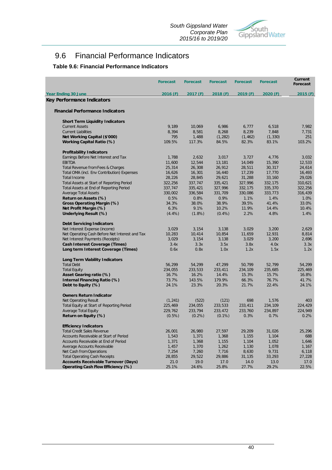

# 9.6 Financial Performance Indicators

### **Table 9.6: Financial Performance Indicators**

|                                                | <b>Forecast</b> | <b>Forecast</b> | <b>Forecast</b> | <b>Forecast</b> | <b>Forecast</b> | <b>Current</b><br>Forecast |
|------------------------------------------------|-----------------|-----------------|-----------------|-----------------|-----------------|----------------------------|
| <b>Year Ending 30 June</b>                     | 2016(F)         | 2017 (F)        | 2018 (F)        | 2019 (F)        | 2020 (F)        | 2015(F)                    |
| Key Performance Indicators                     |                 |                 |                 |                 |                 |                            |
| <b>Financial Performance Indicators</b>        |                 |                 |                 |                 |                 |                            |
| <b>Short Term Liquidity Indicators</b>         |                 |                 |                 |                 |                 |                            |
| <b>Current Assets</b>                          | 9,189           | 10,069          | 6,986           | 6,777           | 6,518           | 7,982                      |
| <b>Current Liabilities</b>                     | 8,394           | 8,581           | 8,268           | 8,239           | 7,848           | 7,731                      |
| Net Working Capital (\$'000)                   | 795             | 1,488           | (1, 282)        | (1, 462)        | (1, 330)        | 251                        |
| Working Capital Ratio (%)                      | 109.5%          | 117.3%          | 84.5%           | 82.3%           | 83.1%           | 103.2%                     |
| <b>Profitability Indicators</b>                |                 |                 |                 |                 |                 |                            |
| Earnings Before Net Interest and Tax           | 1,788           | 2,632           | 3,017           | 3,727           | 4,776           | 3,032                      |
| <b>EBITDA</b>                                  | 11,600          | 12,544          | 13,181          | 14,049          | 15,390          | 12,533                     |
| Total Revenue from Fees & Charges              | 25,314          | 26,308          | 26,912          | 28,511          | 30,317          | 24,614                     |
| Total OMA (incl. Env Contribution) Expenses    | 16,626          | 16,301          | 16,440          | 17,239          | 17,770          | 16,493                     |
| <b>Total Income</b>                            | 28,226          | 28,845          | 29,621          | 31,288          | 33,160          | 29,026                     |
| Total Assets at Start of Reporting Period      | 322,256         | 337,747         | 335,421         | 327,996         | 332,175         | 310,621                    |
| Total Assets at End of Reporting Period        | 337,747         | 335,421         | 327,996         | 332,175         | 335,370         | 322,256                    |
| <b>Average Total Assets</b>                    | 330,002         | 336,584         | 331,709         | 330,086         | 333,773         | 316,439                    |
| Return on Assets (%)                           | 0.5%            | 0.8%            | 0.9%            | 1.1%            | 1.4%            | 1.0%                       |
| Gross Operating Margin (%)                     | 34.3%           | 38.0%           | 38.9%           | 39.5%           | 41.4%           | 33.0%                      |
| Net Profit Margin (%)                          | 6.3%            | 9.1%            | 10.2%           | 11.9%           | 14.4%           | 10.4%                      |
| Underlying Result (%)                          | $(4.4\%)$       | $(1.8\%)$       | $(0.4\%)$       | 2.2%            | 4.8%            | 1.4%                       |
| <b>Debt Servicing Indicators</b>               |                 |                 |                 |                 |                 |                            |
| Net Interest Expense (income)                  | 3,029           | 3,154           | 3,138           | 3,029           | 3,200           | 2,629                      |
| Net Operating Cash Before Net Interest and Tax | 10,283          | 10,414          | 10,854          | 11,659          | 12,931          | 8,814                      |
| Net Interest Payments (Receipts)               | 3,029           | 3,154           | 3,138           | 3,029           | 3,200           | 2,696                      |
| Cash Interest Coverage (Times)                 | 3.4x            | 3.3x            | 3.5x            | 3.8x            | 4.0x            | 3.3x                       |
| Long term Interest Coverage (Times)            | 0.6x            | 0.8x            | 1.0x            | 1.2x            | 1.5x            | 1.2x                       |
|                                                |                 |                 |                 |                 |                 |                            |
| <b>Long Term Viability Indicators</b>          |                 |                 |                 |                 |                 |                            |
| <b>Total Debt</b>                              | 56,299          | 54,299          | 47,299          | 50,799          | 52,799          | 54,299                     |
| <b>Total Equity</b>                            | 234,055         | 233,533         | 233,411         | 234,109         | 235,685         | 225,469                    |
| Asset Gearing ratio (%)                        | 16.7%           | 16.2%           | 14.4%           | 15.3%           | 15.7%           | 16.8%                      |
| Internal Financing Ratio (%)                   | 73.7%           | 143.5%          | 179.9%          | 66.3%           | 76.7%           | 41.7%                      |
| Debt to Equity (%)                             | 24.1%           | 23.3%           | 20.3%           | 21.7%           | 22.4%           | 24.1%                      |
| <b>Owners Return Indicator</b>                 |                 |                 |                 |                 |                 |                            |
| <b>Net Operating Result</b>                    | (1, 241)        | (522)           | (121)           | 698             | 1,576           | 403                        |
| Total Equity at Start of Reporting Period      | 225,469         | 234,055         | 233,533         | 233,411         | 234,109         | 224,429                    |
| Average Total Equity                           | 229,762         | 233,794         | 233,472         | 233,760         | 234,897         | 224,949                    |
| Return on Equity (%)                           | $(0.5\%)$       | $(0.2\%)$       | $(0.1\%)$       | 0.3%            | 0.7%            | 0.2%                       |
| <b>Efficiency Indicators</b>                   |                 |                 |                 |                 |                 |                            |
| <b>Total Credit Sales Revenue</b>              | 26,001          | 26,980          | 27,597          | 29,209          | 31,026          | 25,296                     |
| Accounts Receivable at Start of Period         | 1,543           | 1,371           | 1,368           | 1,155           | 1,104           | 688                        |
| Accounts Receivable at End of Period           | 1,371           | 1,368           | 1,155           | 1,104           | 1,052           | 1,646                      |
| Average Accounts Receivable                    | 1,457           | 1,370           | 1,262           | 1,130           | 1,078           | 1.167                      |
| Net Cash from Operations                       | 7,254           | 7,260           | 7,716           | 8,630           | 9,731           | 6,118                      |
| <b>Total Operating Cash Receipts</b>           | 28,855          | 29,522          | 29,886          | 31,135          | 33,293          | 27,228                     |
| <b>Accounts Receivable Turnover (Days)</b>     | 21.0            | 19.0            | 17.0            | 14.0            | 13.0            | 17.0                       |
| Operating Cash Flow Efficiency (%)             | 25.1%           | 24.6%           | 25.8%           | 27.7%           | 29.2%           | 22.5%                      |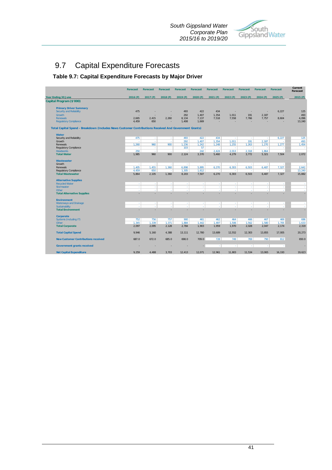

# 9.7 Capital Expenditure Forecasts

### **Table 9.7: Capital Expenditure Forecasts by Major Driver**

|                                                                                                       | <b>Forecast</b> | <b>Forecast</b> | <b>Forecast</b>          | <b>Forecast</b> | <b>Forecast</b> | <b>Forecast</b> | <b>Forecast</b> | <b>Forecast</b> | <b>Forecast</b> | <b>Forecast</b> | Current<br>Forecast |
|-------------------------------------------------------------------------------------------------------|-----------------|-----------------|--------------------------|-----------------|-----------------|-----------------|-----------------|-----------------|-----------------|-----------------|---------------------|
| Year Ending 30 June                                                                                   | 2016 (F)        | 2017 (F)        | 2018 (F)                 | 2019 (F)        | 2020 (F)        | 2021 (F)        | 2022 (F)        | 2023 (F)        | 2024 (F)        | 2025 (F)        | 2015(F)             |
| Capital Program (\$'000)                                                                              |                 |                 |                          |                 |                 |                 |                 |                 |                 |                 |                     |
| <b>Primary Driver Summary</b>                                                                         |                 |                 |                          |                 |                 |                 |                 |                 |                 |                 |                     |
| <b>Security and Reliability</b>                                                                       | 475             |                 |                          | 493             | 422             | 434             |                 |                 | ٠               | 6,227           | 125                 |
| <b>Growth</b>                                                                                         |                 | ٠               |                          | 292             | 1,407           | 1,354           | 1,011           | 191             | 2,187           |                 | 493                 |
| <b>Renewals</b>                                                                                       | 2.665           | 2,415           | 2,260                    | 8.134           | 7,137           | 7.518           | 7,558           | 7,766           | 7,757           | 8,604           | 4,096               |
| <b>Regulatory Compliance</b>                                                                          | 4,459           | 650             |                          | 1,408           | 1,669           |                 |                 | ٠               |                 |                 | 13,240              |
| Total Capital Spend - Breakdown (Includes News Customer Contributions Received And Government Grants) |                 |                 |                          |                 |                 |                 |                 |                 |                 |                 |                     |
| <b>Water</b>                                                                                          |                 |                 |                          |                 |                 |                 |                 |                 |                 |                 |                     |
| Security and Reliability                                                                              | 475             | ×.              | ×.                       | 493             | 422             | 434             | ×.              | ×.              | ×               | 6,227           | 125                 |
| Growth                                                                                                | ٠.              | ×               | ×.                       | 292             | 1,407           | 1,354           | 1.011           | 191             | 2.187           |                 | 493                 |
| Renewals                                                                                              | 1,260           | 960             | 900                      | 1,236           | 1,242           | 1,248           | 1,255           | 1,263           | 1,270           | 1,277           | 1,454               |
| <b>Regulatory Compliance</b>                                                                          |                 | ×.              |                          | 103             | 57              | $\sim$          | ×.              | ×.              | ×               | ×.              | $\sim$              |
| <b>Headworks</b>                                                                                      | 250             | ÷.              | $\overline{\phantom{a}}$ | ł.              | 242             | 2,424           | 2.013           | 2,318           | 1.864           | J.              |                     |
| <b>Total Water</b>                                                                                    | 1.985           | 960             | 900                      | 2.124           | 3.370           | 5.460           | 4,279           | 3.772           | 5.321           | 7.504           | 2.072               |
| <b>Wastewater</b>                                                                                     |                 |                 |                          |                 |                 |                 |                 |                 |                 |                 |                     |
| Growth                                                                                                | ×.              | ×.              | ×.                       | ×.              | ×.              | ×.              | ×.              | ×.              | ×.              | ×.              | ×.                  |
| Renewals                                                                                              | 1,405           | 1.455           | 1.360                    | 6.898           | 5,895           | 6,270           | 6,303           | 6,503           | 6.487           | 7,327           | 2,642               |
| Regulatory Compliance                                                                                 | 4,459           | 650             | $\sim$                   | 1,305           | 1,612           | n.              | ×.              | ×.              | ×.              |                 | 13,240              |
| <b>Total Wastewater</b>                                                                               | 5.864           | 2,105           | 1,360                    | 8.203           | 7,507           | 6,270           | 6,303           | 6,503           | 6,487           | 7,327           | 15,882              |
| <b>Alternative Supplies</b>                                                                           |                 |                 |                          |                 |                 |                 |                 |                 |                 |                 |                     |
| <b>Recycled Water</b><br>Stormwater                                                                   | $\sim$<br>×.    | ×<br>×.         | ×<br>×                   | ×<br>×          | ×<br>÷.         | ×<br>٠.         | ×.<br>×         | ×<br>×          | ×<br>×.         | ٠.<br>×         | $\mathcal{L}$       |
| Other                                                                                                 | ÷               | ÷.              | ÷                        | ÷               | ÷.              | ÷               | $\sim$          | ÷.              | ÷               | ÷               | v                   |
| <b>Total Alternative Supplies</b>                                                                     |                 |                 |                          | ٠               |                 |                 |                 |                 |                 | ٠               | $\sim$              |
| <b>Environment</b>                                                                                    |                 |                 |                          |                 |                 |                 |                 |                 |                 |                 |                     |
| <b>Waterways and Drainage</b>                                                                         | ÷               | ×.              | ×.                       | ×               | ×.              | ÷               | ×.              | ×.              | ×               | ×.              | ×                   |
| Sustainability                                                                                        | ÷.              |                 | ÷                        | ÷               |                 |                 |                 | ÷               | ÷               |                 | ÷.                  |
| <b>Total Environment</b>                                                                              |                 |                 |                          | ٠               |                 |                 |                 | ÷               |                 | ٠               | ×.                  |
| <b>Corporate</b>                                                                                      |                 |                 |                          |                 |                 |                 |                 |                 |                 |                 |                     |
| Systems (Including IT)                                                                                | 752             | 756             | 757                      | 900             | 461             | 462             | 464             | 466             | 467             | 469             | 686                 |
| Other                                                                                                 | 1.345           | 1.339           | 1.371                    | 1.884           | 1,442           | 1.497           | 1.506           | 1.562           | 1,580           | 1.705           | 1,633               |
| <b>Total Corporate</b>                                                                                | 2.097           | 2,095           | 2.128                    | 2,784           | 1,903           | 1.959           | 1.970           | 2.028           | 2,047           | 2.174           | 2,319               |
| <b>Total Capital Spend</b>                                                                            | 9,946           | 5,160           | 4,388                    | 13,111          | 12,780          | 13,689          | 12,552          | 12,303          | 13,855          | 17,005          | 20,273              |
| <b>New Customer Contributions received</b>                                                            | 687.0           | 672.0           | 685.0                    | 698.0           | 709.0           | 728             | 749             | 769             | 790             | 812             | 650.0               |
| <b>Government grants received</b>                                                                     |                 |                 |                          |                 |                 |                 | ×.              | ÷               | ÷               |                 |                     |
| <b>Net Capital Expenditure</b>                                                                        | 9.259           | 4.488           | 3.703                    | 12.413          | 12.071          | 12.961          | 11.803          | 11.534          | 13.065          | 16.193          | 19.623              |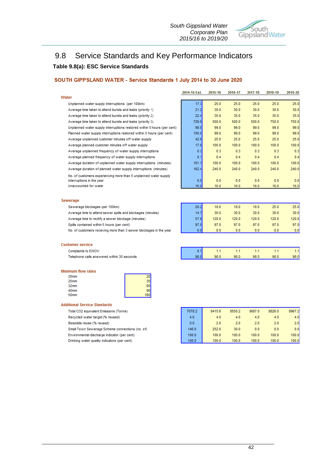*South Gippsland Water Corporate Plan 2015/16 to 2019/20*



# 9.8 Service Standards and Key Performance Indicators **Table 9.8(a): ESC Service Standards**

### SOUTH GIPPSLAND WATER - Service Standards 1 July 2014 to 30 June 2020

|                                                                         | 2014-15 Est. | 2015-16 | 2016-17 | 2017-18 | 2018-19 | 2019-20 |
|-------------------------------------------------------------------------|--------------|---------|---------|---------|---------|---------|
| Water                                                                   |              |         |         |         |         |         |
| Unplanned water supply interruptions (per 100km)                        | 17.3         | 25.0    | 25.0    | 25.0    | 25.0    | 25.0    |
| Average time taken to attend bursts and leaks (priority 1)              | 21.2         | 30.0    | 30.0    | 30.0    | 30.0    | 30.0    |
| Average time taken to attend bursts and leaks (priority 2)              | 22.4         | 35.0    | 35.0    | 35.0    | 35.0    | 35.0    |
| Average time taken to attend bursts and leaks (priority 3)              | 729.9        | 500.0   | 500.0   | 500.0   | 750.0   | 750.0   |
| Unplanned water supply interruptions restored within 5 hours (per cent) | 98.0         | 99.0    | 99.0    | 99.0    | 99.0    | 99.0    |
| Planned water supply interruptions restored within 5 hours (per cent)   | 100.0        | 99.0    | 99.0    | 99.0    | 99.0    | 99.0    |
| Average unplanned customer minutes off water supply                     | 42.9         | 25.0    | 25.0    | 25.0    | 25.0    | 25.0    |
| Average planned customer minutes off water supply                       | 17.8         | 100.0   | 100.0   | 100.0   | 100.0   | 100.0   |
| Average unplanned frequency of water supply interruptions               | 0.3          | 0.3     | 0.3     | 0.3     | 0.3     | 0.3     |
| Average planned frequency of water supply interruptions                 | 0.1          | 0.4     | 0.4     | 0.4     | 0.4     | 0.4     |
| Average duration of unplanned water supply interruptions (minutes)      | 161.7        | 100.0   | 100.0   | 100.0   | 100.0   | 100.0   |
| Average duration of planned water supply interruptions (minutes)        | 162.4        | 240.0   | 240.0   | 240.0   | 240.0   | 240.0   |
| No, of customers experiencing more than 5 unplanned water supply        |              |         |         |         |         |         |
| interruptions in the year                                               | 0.0          | 0.0     | 0.0     | 0.0     | 0.0     | 0.0     |
| Unaccounted for water                                                   | 16.0         | 16.0    | 16.0    | 16.0    | 16.0    | 16.0    |
|                                                                         |              |         |         |         |         |         |
| Sewerage                                                                |              |         |         |         |         |         |
| Sewerage blockages (per 100km)                                          | 20.2         | 18.0    | 18.0    | 18.0    | 25.0    | 25.0    |
| Average time to attend sewer spills and blockages (minutes)             | 14.7         | 30.0    | 30.0    | 30.0    | 30.0    | 30.0    |
| Average time to rectify a sewer blockage (minutes)                      | 57.9         | 120.0   | 120.0   | 120.0   | 120.0   | 120.0   |
| Spills contained within 5 hours (per cent)                              | 97.0         | 97.0    | 97.0    | 97.0    | 97.0    | 97.0    |
| No. of customers receiving more than 3 sewer blockages in the year      | 0.0          | 0.0     | 0.0     | 0.0     | 0.0     | 0.0     |
|                                                                         |              |         |         |         |         |         |

| Customer service                           |      |      |      |      |      |      |
|--------------------------------------------|------|------|------|------|------|------|
| Complaints to EWOV                         |      |      |      |      |      |      |
| Telephone calls answered within 30 seconds | 98.0 | 98.0 | 98.0 | 98.0 | 98.0 | 98.0 |

### **Minimum flow rates**

| 20mm             |     |
|------------------|-----|
| 25mm             |     |
| 32 <sub>mm</sub> |     |
| 40mm             |     |
| 50 <sub>mm</sub> | 160 |

### **Additional Service Standards**

Total CO2 equivalent Emissions (Tonne)

Recycled water target (% reused)

Biosolids reuse (% reused)

Small Town Sewerage Scheme connections (no. of)

Environmental discharge indicator (per cent) Drinking water quality indicators (per cent)

7078.2 8415.6 8550.2 8687.0 8826.0 8967.2  $4.0$  $4.0$  $4.0$  $4.0$  $4.0$  $40$  $0.0$  $2.0$  $2.0$  $2.0$  $2.0$  $2.0$ 146.0 252.0  $30.0$  $0.0$  $0.0$  $0.0$  $100.0$  $100.0$  $100.0$  $100.0$  $100.0$  $100.0$  $100.0$  $100.0$  $100.0$  $100.0$ 100.0  $100.0$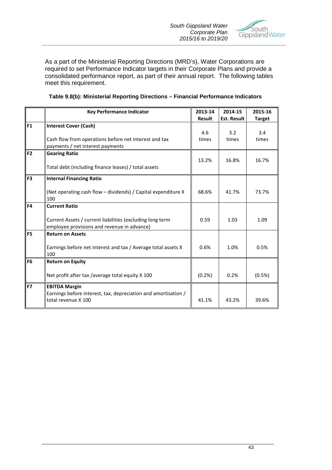

As a part of the Ministerial Reporting Directions (MRD's), Water Corporations are required to set Performance Indicator targets in their Corporate Plans and provide a consolidated performance report, as part of their annual report. The following tables meet this requirement.

|                | <b>Key Performance Indicator</b>                                                                         | 2013-14<br><b>Result</b> | 2014-15<br><b>Est. Result</b> | 2015-16<br><b>Target</b> |
|----------------|----------------------------------------------------------------------------------------------------------|--------------------------|-------------------------------|--------------------------|
| F1             | <b>Interest Cover (Cash)</b>                                                                             |                          |                               |                          |
|                |                                                                                                          | 4.6                      | 3.2                           | 3.4                      |
|                | Cash flow from operations before net interest and tax<br>payments / net interest payments                | times                    | times                         | times                    |
| F <sub>2</sub> | <b>Gearing Ratio</b>                                                                                     |                          |                               |                          |
|                | Total debt (including finance leases) / total assets                                                     | 13.2%                    | 16.8%                         | 16.7%                    |
| F <sub>3</sub> | <b>Internal Financing Ratio</b>                                                                          |                          |                               |                          |
|                | (Net operating cash flow - dividends) / Capital expenditure X<br>100                                     | 68.6%                    | 41.7%                         | 73.7%                    |
| F4             | <b>Current Ratio</b>                                                                                     |                          |                               |                          |
|                | Current Assets / current liabilities (excluding long term<br>employee provisions and revenue in advance) | 0.59                     | 1.03                          | 1.09                     |
| F <sub>5</sub> | <b>Return on Assets</b>                                                                                  |                          |                               |                          |
|                | Earnings before net interest and tax / Average total assets X<br>100                                     | 0.6%                     | 1.0%                          | 0.5%                     |
| F <sub>6</sub> | <b>Return on Equity</b>                                                                                  |                          |                               |                          |
|                | Net profit after tax /average total equity X 100                                                         | (0.2%                    | 0.2%                          | (0.5%)                   |
| F7             | <b>EBITDA Margin</b>                                                                                     |                          |                               |                          |
|                | Earnings before interest, tax, depreciation and amortisation /<br>total revenue X 100                    | 41.1%                    | 43.2%                         | 39.6%                    |

### **Table 9.8(b): Ministerial Reporting Directions – Financial Performance Indicators**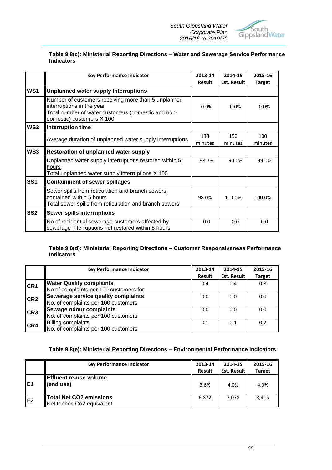

### **Table 9.8(c): Ministerial Reporting Directions – Water and Sewerage Service Performance Indicators**

|                 | <b>Key Performance Indicator</b>                                                                                                                                    | 2013-14<br><b>Result</b> | 2014-15<br><b>Est. Result</b> | 2015-16<br><b>Target</b> |
|-----------------|---------------------------------------------------------------------------------------------------------------------------------------------------------------------|--------------------------|-------------------------------|--------------------------|
| WS1             | <b>Unplanned water supply Interruptions</b>                                                                                                                         |                          |                               |                          |
|                 | Number of customers receiving more than 5 unplanned<br>interruptions in the year<br>Total number of water customers (domestic and non-<br>domestic) customers X 100 | 0.0%                     | 0.0%                          | 0.0%                     |
| WS <sub>2</sub> | Interruption time                                                                                                                                                   |                          |                               |                          |
|                 | Average duration of unplanned water supply interruptions                                                                                                            | 138<br>minutes           | 150<br>minutes                | 100<br>minutes           |
| WS3             | <b>Restoration of unplanned water supply</b>                                                                                                                        |                          |                               |                          |
|                 | Unplanned water supply interruptions restored within 5<br>hours<br>Total unplanned water supply interruptions X 100                                                 | 98.7%                    | 90.0%                         | 99.0%                    |
| SS <sub>1</sub> | <b>Containment of sewer spillages</b>                                                                                                                               |                          |                               |                          |
|                 | Sewer spills from reticulation and branch sewers<br>contained within 5 hours<br>Total sewer spills from reticulation and branch sewers                              | 98.0%                    | 100.0%                        | 100.0%                   |
| SS <sub>2</sub> | Sewer spills interruptions                                                                                                                                          |                          |                               |                          |
|                 | No of residential sewerage customers affected by<br>sewerage interruptions not restored within 5 hours                                                              | 0.0                      | 0.0                           | 0.0                      |

### **Table 9.8(d): Ministerial Reporting Directions – Customer Responsiveness Performance Indicators**

|                 | <b>Key Performance Indicator</b>        | 2013-14 | 2014-15            | 2015-16       |
|-----------------|-----------------------------------------|---------|--------------------|---------------|
|                 |                                         | Result  | <b>Est. Result</b> | <b>Target</b> |
| CR <sub>1</sub> | <b>Water Quality complaints</b>         | 0.4     | 0.4                | 0.8           |
|                 | No of complaints per 100 customers for: |         |                    |               |
| CR2             | Sewerage service quality complaints     | 0.0     | 0.0                | 0.0           |
|                 | No. of complaints per 100 customers     |         |                    |               |
| CR3             | Sewage odour complaints                 | 0.0     | 0.0                | 0.0           |
|                 | No. of complaints per 100 customers     |         |                    |               |
| ICR4            | <b>Billing complaints</b>               | 0.1     | 0.1                | 0.2           |
|                 | No. of complaints per 100 customers     |         |                    |               |

### **Table 9.8(e): Ministerial Reporting Directions – Environmental Performance Indicators**

|                 | <b>Key Performance Indicator</b>                            | 2013-14       | 2014-15            | 2015-16       |
|-----------------|-------------------------------------------------------------|---------------|--------------------|---------------|
|                 |                                                             | <b>Result</b> | <b>Est. Result</b> | <b>Target</b> |
| IE <sub>1</sub> | Effluent re-use volume<br>(end use)                         | 3.6%          | 4.0%               | 4.0%          |
| lE2             | <b>Total Net CO2 emissions</b><br>Net tonnes Co2 equivalent | 6.872         | 7.078              | 8,415         |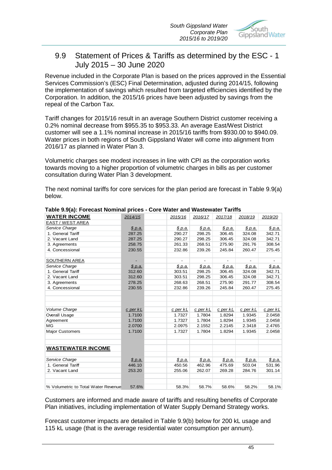

### 9.9 Statement of Prices & Tariffs as determined by the ESC - 1 July 2015 – 30 June 2020

Revenue included in the Corporate Plan is based on the prices approved in the Essential Services Commission's (ESC) Final Determination, adjusted during 2014/15, following the implementation of savings which resulted from targeted efficiencies identified by the Corporation. In addition, the 2015/16 prices have been adjusted by savings from the repeal of the Carbon Tax.

Tariff changes for 2015/16 result in an average Southern District customer receiving a 0.2% nominal decrease from \$955.35 to \$953.33. An average East/West District customer will see a 1.1% nominal increase in 2015/16 tariffs from \$930.00 to \$940.09. Water prices in both regions of South Gippsland Water will come into alignment from 2016/17 as planned in Water Plan 3.

Volumetric charges see modest increases in line with CPI as the corporation works towards moving to a higher proportion of volumetric charges in bills as per customer consultation during Water Plan 3 development.

The next nominal tariffs for core services for the plan period are forecast in Table 9.9(a) below.

| <b>WATER INCOME</b>                 | 2014/15      | 2015/16                  | 2016/17        | 2017/18        | 2018/19        | 2019/20        |
|-------------------------------------|--------------|--------------------------|----------------|----------------|----------------|----------------|
| EAST / WEST AREA                    |              |                          |                |                |                |                |
| Service Charge                      | \$p.a.       | <u>\$ p.a.</u>           | \$ p.a.        | <u>\$ p.a.</u> | \$p.a.         | <u>\$ p.a.</u> |
| 1. General Tariff                   | 287.25       | 290.27                   | 298.25         | 306.45         | 324.08         | 342.71         |
| 2. Vacant Land                      | 287.25       | 290.27                   | 298.25         | 306.45         | 324.08         | 342.71         |
| 3. Agreements                       | 258.75       | 261.33                   | 268.51         | 275.90         | 291.76         | 308.54         |
| 4. Concessional                     | 230.55       | 232.86                   | 239.26         | 245.84         | 260.47         | 275.45         |
| <b>SOUTHERN AREA</b>                |              | $\overline{\phantom{0}}$ | $\blacksquare$ | ٠              |                |                |
| Service Charge                      | \$p.a.       | \$ p.a.                  | \$ p.a.        | <u>\$ p.a.</u> | <u>\$ p.a.</u> | <u>\$ p.a.</u> |
| 1. General Tariff                   | 312.60       | 303.51                   | 298.25         | 306.45         | 324.08         | 342.71         |
| 2. Vacant Land                      | 312.60       | 303.51                   | 298.25         | 306.45         | 324.08         | 342.71         |
| 3. Agreements                       | 278.25       | 268.63                   | 268.51         | 275.90         | 291.77         | 308.54         |
| 4. Concessional                     | 230.55       | 232.86                   | 239.26         | 245.84         | 260.47         | 275.45         |
|                                     |              |                          |                |                |                |                |
| Volume Charge                       | $c$ per $kL$ | <u>c per kL</u>          | $c$ per $kL$   | c per kL       | c per kL       | $c$ per $kL$   |
| Overall Usage                       | 1.7100       | 1.7327                   | 1.7804         | 1.8294         | 1.9345         | 2.0458         |
| Agreement                           | 1.7100       | 1.7327                   | 1.7804         | 1.8294         | 1.9345         | 2.0458         |
| <b>MG</b>                           | 2.0700       | 2.0975                   | 2.1552         | 2.2145         | 2.3418         | 2.4765         |
| <b>Major Customers</b>              | 1.7100       | 1.7327                   | 1.7804         | 1.8294         | 1.9345         | 2.0458         |
| <b>WASTEWATER INCOME</b>            |              |                          |                |                |                |                |
| Service Charge                      | \$ p.a.      | \$ p.a.                  | <u>\$ p.a.</u> | \$ p.a.        | \$p.a.         | \$ p.a.        |
| 1. General Tariff                   | 446.10       | 450.56                   | 462.96         | 475.69         | 503.04         | 531.96         |
| 2. Vacant Land                      | 253.20       | 255.06                   | 262.07         | 269.28         | 284.76         | 301.14         |
| % Volumetric to Total Water Revenue | 57.6%        | 58.3%                    | 58.7%          | 58.6%          | 58.2%          | 58.1%          |

**Table 9.9(a): Forecast Nominal prices - Core Water and Wastewater Tariffs**

Customers are informed and made aware of tariffs and resulting benefits of Corporate Plan initiatives, including implementation of Water Supply Demand Strategy works.

Forecast customer impacts are detailed in Table 9.9(b) below for 200 kL usage and 115 kL usage (that is the average residential water consumption per annum).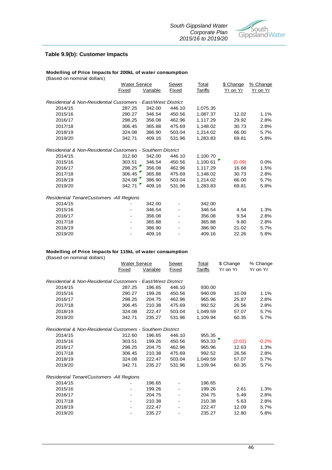

### **Table 9.9(b): Customer Impacts**

### **Modelling of Price Impacts for 200kL of water consumption**

(Based on nominal dollars) Sewer Total \$ Change % Change Fixed Variable Fixed Tariffs Yr on Yr Yr on Yr *Residential & Non-Residential Customers - East/West District* 2014/15 287.25 342.00 446.10 1,075.35 2015/16 290.27 346.54 450.56 1,087.37 12.02 1.1% 2016/17 298.25 356.08 462.96 1,117.29 29.92 2.8% 2017/18 306.45 365.88 475.69 1,148.02 30.73 2.8% 2018/19 324.08 386.90 503.04 1,214.02 66.00 5.7% 2019/20 342.71 409.16 531.96 1,283.83 69.81 5.8% *Residential & Non-Residential Customers - Southern District* 2014/15 312.60 342.00 446.10 1,100.70 2015/16 303.51 346.54 450.56 1,100.61 (0.09) 0.0%  $298.25$ 2017/18 306.45 365.88 475.69 1,148.02 30.73 2.8%<br>2018/19 324.08 324.08 386.90 503.04 1,214.02 66.00 5.7% 2018/19 324.08 386.90 503.04 1,214.02 66.00 5.7% 2019/20 342.71 409.16 531.96 1,283.83 69.81 5.8% *Residential TenantCustomers -All Regions* 2014/15 - 342.00 - 342.00 2015/16 - 346.54 - 346.54 4.54 1.3% 2016/17 - 356.08 - 356.08 9.54 2.8% 2017/18 - 365.88 - 365.88 9.80 2.8% 2018/19 - 386.90 - 386.90 21.02 5.7% 2019/20 - 409.16 - 409.16 22.26 5.8% Water Service

### **Modelling of Price Impacts for 115kL of water consumption**

(Based on nominal dollars)

|                                                              | <b>Water Service</b>         |          | Sewer  | <b>Total</b> | \$ Change | % Change |
|--------------------------------------------------------------|------------------------------|----------|--------|--------------|-----------|----------|
|                                                              | Fixed                        | Variable | Fixed  | Tariffs      | Yr on Yr  | Yr on Yr |
| Residential & Non-Residential Customers - East/West District |                              |          |        |              |           |          |
| 2014/15                                                      | 287.25                       | 196.65   | 446.10 | 930.00       |           |          |
| 2015/16                                                      | 290.27                       | 199.26   | 450.56 | 940.09       | 10.09     | 1.1%     |
| 2016/17                                                      | 298.25                       | 204.75   | 462.96 | 965.96       | 25.87     | 2.8%     |
| 2017/18                                                      | 306.45                       | 210.38   | 475.69 | 992.52       | 26.56     | 2.8%     |
| 2018/19                                                      | 324.08                       | 222.47   | 503.04 | 1,049.59     | 57.07     | 5.7%     |
| 2019/20                                                      | 342.71                       | 235.27   | 531.96 | 1,109.94     | 60.35     | 5.7%     |
| Residential & Non-Residential Customers - Southern District  |                              |          |        |              |           |          |
| 2014/15                                                      | 312.60                       | 196.65   | 446.10 | 955.35       |           |          |
| 2015/16                                                      | 303.51                       | 199.26   | 450.56 | 953.33       | (2.02)    | $-0.2%$  |
| 2016/17                                                      | 298.25                       | 204.75   | 462.96 | 965.96       | 12.63     | 1.3%     |
| 2017/18                                                      | 306.45                       | 210.38   | 475.69 | 992.52       | 26.56     | 2.8%     |
| 2018/19                                                      | 324.08                       | 222.47   | 503.04 | 1.049.59     | 57.07     | 5.7%     |
| 2019/20                                                      | 342.71                       | 235.27   | 531.96 | 1,109.94     | 60.35     | 5.7%     |
| Residential TenantCustomers - All Regions                    |                              |          |        |              |           |          |
| 2014/15                                                      |                              | 196.65   |        | 196.65       |           |          |
| 2015/16                                                      | ۰                            | 199.26   |        | 199.26       | 2.61      | 1.3%     |
| 2016/17                                                      | $\blacksquare$               | 204.75   |        | 204.75       | 5.49      | 2.8%     |
| 2017/18                                                      | -                            | 210.38   |        | 210.38       | 5.63      | 2.8%     |
| 2018/19                                                      |                              | 222.47   |        | 222.47       | 12.09     | 5.7%     |
| 2019/20                                                      | $\qquad \qquad \blacksquare$ | 235.27   |        | 235.27       | 12.80     | 5.8%     |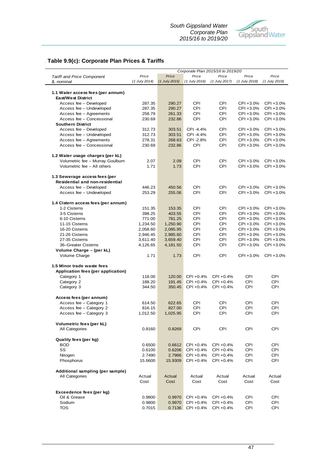

### *.* **Table 9.9(c): Corporate Plan Prices & Tariffs**

|                                     | Corporate Plan 2015/16 to 2019/20 |               |                 |               |               |               |  |
|-------------------------------------|-----------------------------------|---------------|-----------------|---------------|---------------|---------------|--|
| <b>Tariff and Price Component</b>   | Price                             | Price         | Price           | Price         | Price         | Price         |  |
| \$, nominal                         | (1 July 2014)                     | (1 July 2015) | $(1$ July 2016) | (1 July 2017) | (1 July 2018) | (1 July 2019) |  |
|                                     |                                   |               |                 |               |               |               |  |
| 1.1 Water access fees (per annum)   |                                   |               |                 |               |               |               |  |
| East/West District                  |                                   |               |                 |               |               |               |  |
| Access fee - Developed              | 287.35                            | 290.27        | <b>CPI</b>      | <b>CPI</b>    | CPI +3.0%     | CPI +3.0%     |  |
| Access fee - Undeveloped            | 287.35                            | 290.27        | CPI             | CPI           | CPI +3.0%     | CPI +3.0%     |  |
| Access fee - Agreements             | 258.79                            | 261.33        | <b>CPI</b>      | <b>CPI</b>    | CPI +3.0%     | CPI +3.0%     |  |
| Access fee - Concessional           | 230.69                            | 232.86        | <b>CPI</b>      | <b>CPI</b>    | CPI +3.0%     | CPI +3.0%     |  |
| <b>Southern District</b>            |                                   |               |                 |               |               |               |  |
| Access fee - Developed              | 312.73                            | 303.51        | CPI -4.4%       | CPI           | CPI +3.0%     | CPI +3.0%     |  |
| Access fee - Undeveloped            | 312.73                            | 303.51        | CPI -4.4%       | <b>CPI</b>    | CPI +3.0%     | CPI +3.0%     |  |
| Access fee - Agreements             | 278.31                            | 268.63        | CPI-2.8%        | CPI           | CPI +3.0%     | CPI +3.0%     |  |
| Access fee - Concessional           | 230.69                            | 232.86        | CPI             | CPI           | CPI +3.0%     | CPI +3.0%     |  |
| 1.2 Water usage charges (per kL)    |                                   |               |                 |               |               |               |  |
| Volumetric fee - Murray Goulburn    | 2.07                              | 2.09          | <b>CPI</b>      | <b>CPI</b>    | CPI +3.0%     | CPI +3.0%     |  |
| Volumetric fee - All others         | 1.71                              | 1.73          | <b>CPI</b>      | <b>CPI</b>    | CPI +3.0%     | CPI +3.0%     |  |
| 1.3 Sewerage access fees (per       |                                   |               |                 |               |               |               |  |
| Residential and non-residential     |                                   |               |                 |               |               |               |  |
| Access fee - Developed              | 446.23                            | 450.56        | <b>CPI</b>      | <b>CPI</b>    | CPI +3.0%     | CPI +3.0%     |  |
|                                     | 253.29                            |               | <b>CPI</b>      | <b>CPI</b>    | CPI +3.0%     | CPI +3.0%     |  |
| Access fee - Undeveloped            |                                   | 255.06        |                 |               |               |               |  |
| 1.4 Cistern access fees (per annum) |                                   |               |                 |               |               |               |  |
| 1-2 Cisterns                        | 151.35                            | 153.35        | <b>CPI</b>      | <b>CPI</b>    | CPI +3.0%     | CPI +3.0%     |  |
| 3-5 Cisterns                        | 398.25                            | 403.55        | <b>CPI</b>      | <b>CPI</b>    | CPI +3.0%     | CPI +3.0%     |  |
| 6-10 Cisterns                       | 771.00                            | 781.25        | <b>CPI</b>      | <b>CPI</b>    | CPI +3.0%     | CPI +3.0%     |  |
| 11-15 Cisterns                      | 1,234.50                          | 1,250.90      | <b>CPI</b>      | <b>CPI</b>    | CPI +3.0%     | CPI +3.0%     |  |
| 16-20 Cisterns                      | 2,058.60                          | 2,085.95      | <b>CPI</b>      | CPI           | CPI +3.0%     | CPI +3.0%     |  |
| 21-26 Cisterns                      | 2,946.45                          | 2,985.60      | CPI             | <b>CPI</b>    | CPI +3.0%     | CPI +3.0%     |  |
| 27-35 Cisterns                      | 3,611.40                          | 3,659.40      | <b>CPI</b>      | <b>CPI</b>    | CPI +3.0%     | CPI +3.0%     |  |
| 36-Greater Cisterns                 | 4,126.65                          | 4,181.50      | <b>CPI</b>      | <b>CPI</b>    | CPI +3.0%     | CPI +3.0%     |  |
| Volume Charge - (per kL)            |                                   |               |                 |               |               |               |  |
| Volume Charge                       | 1.71                              | 1.73          | <b>CPI</b>      | <b>CPI</b>    | CPI +3.0%     | CPI +3.0%     |  |
| 1.5 Minor trade waste fees          |                                   |               |                 |               |               |               |  |
| Application fees (per application)  |                                   |               |                 |               |               |               |  |
| Category 1                          | 118.00                            | 120.00        | CPI +0.4%       | CPI +0.4%     | <b>CPI</b>    | <b>CPI</b>    |  |
| Category 2                          | 188.20                            | 191.45        | CPI +0.4%       | CPI +0.4%     | CPI           | <b>CPI</b>    |  |
| Category 3                          | 344.50                            | 350.45        | CPI +0.4%       | CPI +0.4%     | CPI           | <b>CPI</b>    |  |
| Access fees (per annum)             |                                   |               |                 |               |               |               |  |
| Access fee - Category 1             | 614.50                            | 622.65        | CPI             | <b>CPI</b>    | <b>CPI</b>    | <b>CPI</b>    |  |
| Access fee - Category 2             | 816.15                            | 827.00        | <b>CPI</b>      | <b>CPI</b>    | CPI           | <b>CPI</b>    |  |
| Access fee - Category 3             | 1,012.50                          | 1,025.95      | <b>CPI</b>      | <b>CPI</b>    | <b>CPI</b>    | <b>CPI</b>    |  |
| Volumetric fees (per kL)            |                                   |               |                 |               |               |               |  |
| All Categories                      | 0.8160                            | 0.8269        | CPI             | CPI           | CPI           | CPI           |  |
| Quality fees (per kg)               |                                   |               |                 |               |               |               |  |
| <b>BOD</b>                          | 0.6500                            | 0.6612        | CPI +0.4%       | CPI +0.4%     | CPI           | CPI           |  |
| SS                                  | 0.6100                            | 0.6206        | CPI +0.4%       | CPI +0.4%     | CPI           | CPI           |  |
| Nitogen                             | 2.7490                            | 2.7966        | CPI +0.4%       | CPI +0.4%     | <b>CPI</b>    | <b>CPI</b>    |  |
| Phosphorus                          | 15.6600                           | 15.9309       | CPI +0.4%       | CPI +0.4%     | <b>CPI</b>    | CPI           |  |
| Additional sampling (per sample)    |                                   |               |                 |               |               |               |  |
| All Categories                      | Actual                            | Actual        | Actual          | Actual        | Actual        | Actual        |  |
|                                     | Cost                              | Cost          | Cost            | Cost          | Cost          | Cost          |  |
| Exceedence fees (per kg)            |                                   |               |                 |               |               |               |  |
| Oil & Grease                        | 0.9800                            | 0.9970        | CPI +0.4%       | CPI +0.4%     | CPI           | <b>CPI</b>    |  |
| Sodium                              | 0.9800                            | 0.9970        | CPI +0.4%       | CPI +0.4%     | CPI           | <b>CPI</b>    |  |
| TOS                                 | 0.7015                            | 0.7136        | CPI +0.4%       | CPI +0.4%     | CPI           | CPI           |  |